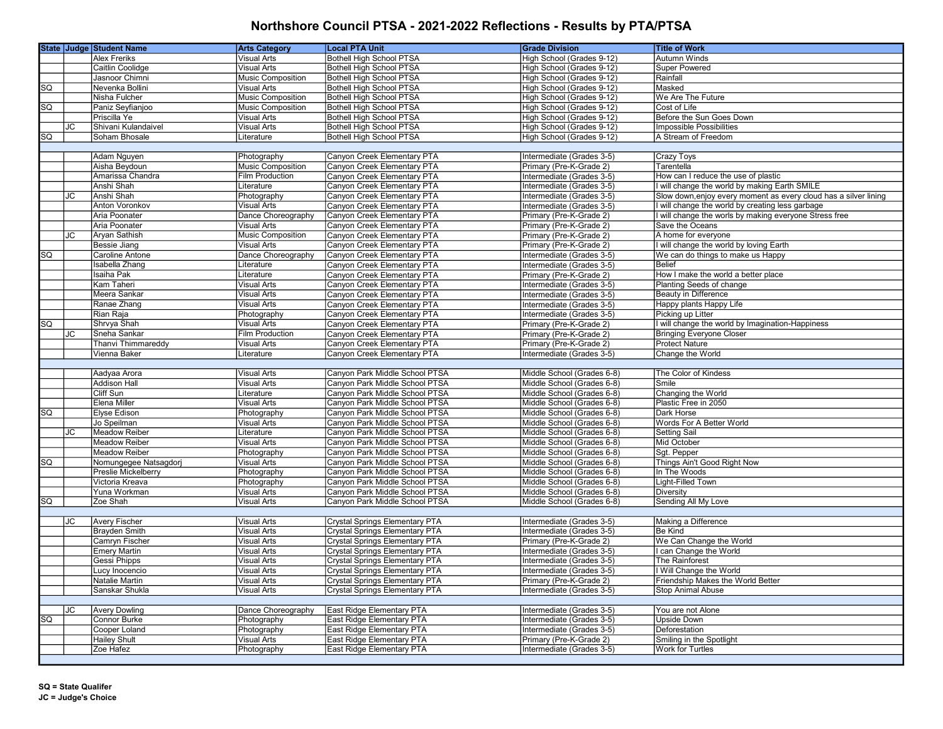|                 |    | State Judge Student Name                     | <b>Arts Category</b>                     | <b>Local PTA Unit</b>                                                          | <b>Grade Division</b>                                    | <b>Title of Work</b>                                                                |
|-----------------|----|----------------------------------------------|------------------------------------------|--------------------------------------------------------------------------------|----------------------------------------------------------|-------------------------------------------------------------------------------------|
|                 |    | <b>Alex Freriks</b>                          | <b>Visual Arts</b>                       | Bothell High School PTSA                                                       | High School (Grades 9-12)                                | Autumn Winds                                                                        |
|                 |    | Caitlin Coolidge                             | <b>Visual Arts</b>                       | <b>Bothell High School PTSA</b>                                                | High School (Grades 9-12)                                | Super Powered                                                                       |
|                 |    | Jasnoor Chimni                               | Music Composition                        | <b>Bothell High School PTSA</b>                                                | High School (Grades 9-12)                                | Rainfall                                                                            |
| <b>SQ</b>       |    | Nevenka Bollini                              | <b>Visual Arts</b>                       | Bothell High School PTSA                                                       | High School (Grades 9-12)                                | Masked                                                                              |
|                 |    | Nisha Fulcher                                | <b>Music Composition</b>                 | Bothell High School PTSA                                                       | High School (Grades 9-12)                                | We Are The Future                                                                   |
| $\overline{SO}$ |    | Paniz Seyfianjoo                             | Music Composition                        | <b>Bothell High School PTSA</b>                                                | High School (Grades 9-12)                                | Cost of Life                                                                        |
|                 |    | Priscilla Ye                                 | <b>Visual Arts</b>                       | <b>Bothell High School PTSA</b>                                                | High School (Grades 9-12)                                | Before the Sun Goes Down                                                            |
|                 | JC | Shivani Kulandaivel                          | <b>Visual Arts</b>                       |                                                                                | High School (Grades 9-12)                                | Impossible Possibilities                                                            |
| SQ              |    | Soham Bhosale                                | Literature                               | <b>Bothell High School PTSA</b><br><b>Bothell High School PTSA</b>             | High School (Grades 9-12)                                | A Stream of Freedom                                                                 |
|                 |    |                                              |                                          |                                                                                |                                                          |                                                                                     |
|                 |    | Adam Nguyen                                  | Photography                              | Canyon Creek Elementary PTA                                                    | Intermediate (Grades 3-5)                                | Crazy Toys                                                                          |
|                 |    | Aisha Beydoun                                | <b>Music Composition</b>                 | Canyon Creek Elementary PTA                                                    | Primary (Pre-K-Grade 2)                                  | Tarentella                                                                          |
|                 |    | Amarissa Chandra                             | Film Production                          | Canyon Creek Elementary PTA                                                    |                                                          | How can I reduce the use of plastic                                                 |
|                 |    | Anshi Shah                                   | Literature                               | Canyon Creek Elementary PTA                                                    | Intermediate (Grades 3-5)<br>Intermediate (Grades 3-5)   | I will change the world by making Earth SMILE                                       |
|                 | JC | Anshi Shah                                   | Photography                              | Canyon Creek Elementary PTA                                                    | Intermediate (Grades 3-5)                                | Slow down, enjoy every moment as every cloud has a silver lining                    |
|                 |    | <b>Anton Voronkov</b>                        | <b>Visual Arts</b>                       | Canyon Creek Elementary PTA                                                    | Intermediate (Grades 3-5)                                | will change the world by creating less garbage                                      |
|                 |    | Aria Poonater                                | Dance Choreography                       | Canyon Creek Elementary PTA                                                    | Primary (Pre-K-Grade 2)                                  | I will change the worls by making everyone Stress free                              |
|                 |    | Aria Poonater                                | <b>Visual Arts</b>                       | Canyon Creek Elementary PTA                                                    | Primary (Pre-K-Grade 2)                                  | Save the Oceans                                                                     |
|                 | JС | Aryan Sathish                                | <b>Music Composition</b>                 | Canyon Creek Elementary PTA                                                    | Primary (Pre-K-Grade 2)                                  | A home for everyone                                                                 |
|                 |    | Bessie Jiang                                 | Visual Arts                              | Canyon Creek Elementary PTA                                                    | Primary (Pre-K-Grade 2)                                  |                                                                                     |
| SQ              |    | Caroline Antone                              |                                          | Canyon Creek Elementary PTA                                                    | Intermediate (Grades 3-5)                                | I will change the world by loving Earth                                             |
|                 |    | Isabella Zhang                               | Dance Choreography<br>Literature         | Canyon Creek Elementary PTA                                                    | Intermediate (Grades 3-5)                                | We can do things to make us Happy<br><b>Belief</b>                                  |
|                 |    |                                              |                                          |                                                                                |                                                          |                                                                                     |
|                 |    | <b>Isaiha Pak</b><br>Kam Taheri              | Literature                               | Canyon Creek Elementary PTA<br>Canyon Creek Elementary PTA                     | Primary (Pre-K-Grade 2)                                  | How I make the world a better place<br>Planting Seeds of change                     |
|                 |    | Meera Sankar                                 | Visual Arts<br><b>Visual Arts</b>        |                                                                                | Intermediate (Grades 3-5)                                |                                                                                     |
|                 |    |                                              |                                          | Canyon Creek Elementary PTA                                                    | Intermediate (Grades 3-5)                                | Beauty in Difference                                                                |
|                 |    | Ranae Zhang                                  | <b>Visual Arts</b>                       | Canyon Creek Elementary PTA                                                    | Intermediate (Grades 3-5)                                | Happy plants Happy Life                                                             |
|                 |    | Rian Raja                                    | Photography                              | Canyon Creek Elementary PTA                                                    | Intermediate (Grades 3-5)                                | Picking up Litter                                                                   |
| SQ              |    | Shrvya Shah                                  | <b>Visual Arts</b>                       | Canyon Creek Elementary PTA                                                    | Primary (Pre-K-Grade 2)                                  | I will change the world by Imagination-Happiness<br><b>Bringing Everyone Closer</b> |
|                 | JС | Sneha Sankar                                 | <b>Film Production</b>                   | Canyon Creek Elementary PTA                                                    | Primary (Pre-K-Grade 2)                                  |                                                                                     |
|                 |    | Thanvi Thimmareddy                           | <b>Visual Arts</b>                       | Canyon Creek Elementary PTA                                                    | Primary (Pre-K-Grade 2)                                  | <b>Protect Nature</b>                                                               |
|                 |    | Vienna Baker                                 | Literature                               | Canyon Creek Elementary PTA                                                    | Intermediate (Grades 3-5)                                | Change the World                                                                    |
|                 |    |                                              |                                          |                                                                                |                                                          |                                                                                     |
|                 |    | Aadyaa Arora                                 | <b>Visual Arts</b>                       | Canyon Park Middle School PTSA                                                 | Middle School (Grades 6-8)                               | The Color of Kindess                                                                |
|                 |    | <b>Addison Hall</b><br>Cliff Sun             | Visual Arts                              | Canyon Park Middle School PTSA                                                 | Middle School (Grades 6-8)                               | Smile                                                                               |
|                 |    | Elena Miller                                 | Literature<br><b>Visual Arts</b>         | Canyon Park Middle School PTSA                                                 | Middle School (Grades 6-8)                               | Changing the World<br>Plastic Free in 2050                                          |
| <b>SQ</b>       |    | Elvse Edison                                 |                                          | Canyon Park Middle School PTSA<br>Canvon Park Middle School PTSA               | Middle School (Grades 6-8)<br>Middle School (Grades 6-8) | Dark Horse                                                                          |
|                 |    |                                              | Photography                              |                                                                                |                                                          |                                                                                     |
|                 | JC | Jo Speilman                                  | Visual Arts                              | Canyon Park Middle School PTSA                                                 | Middle School (Grades 6-8)                               | Words For A Better World                                                            |
|                 |    | <b>Meadow Reiber</b><br><b>Meadow Reiber</b> | _iterature                               | Canyon Park Middle School PTSA                                                 | Middle School (Grades 6-8)                               | <b>Setting Sail</b>                                                                 |
|                 |    | Meadow Reiber                                | <b>Visual Arts</b>                       | Canyon Park Middle School PTSA                                                 | Middle School (Grades 6-8)                               | Mid October                                                                         |
| <b>SQ</b>       |    |                                              | Photography<br>Visual Arts               | Canyon Park Middle School PTSA                                                 | Middle School (Grades 6-8)                               | Sgt. Pepper                                                                         |
|                 |    | Nomungegee Natsagdorj                        |                                          | Canyon Park Middle School PTSA<br>Canyon Park Middle School PTSA               | Middle School (Grades 6-8)<br>Middle School (Grades 6-8) | Things Ain't Good Right Now<br>In The Woods                                         |
|                 |    | Preslie Mickelberry                          | Photography                              |                                                                                |                                                          |                                                                                     |
|                 |    | Victoria Kreava<br>Yuna Workman              | Photography<br><b>Visual Arts</b>        | Canyon Park Middle School PTSA<br>Canyon Park Middle School PTSA               | Middle School (Grades 6-8)<br>Middle School (Grades 6-8) | <b>Light-Filled Town</b><br>Diversity                                               |
| SQ              |    |                                              |                                          | Canyon Park Middle School PTSA                                                 |                                                          | Sending All My Love                                                                 |
|                 |    | Zoe Shah                                     | <b>Visual Arts</b>                       |                                                                                | Middle School (Grades 6-8)                               |                                                                                     |
|                 | JС |                                              |                                          |                                                                                |                                                          |                                                                                     |
|                 |    | <b>Avery Fischer</b><br><b>Brayden Smith</b> | <b>Visual Arts</b><br><b>Visual Arts</b> | <b>Crystal Springs Elementary PTA</b><br><b>Crystal Springs Elementary PTA</b> | Intermediate (Grades 3-5)<br>Intermediate (Grades 3-5)   | Making a Difference<br><b>Be Kind</b>                                               |
|                 |    |                                              |                                          |                                                                                |                                                          |                                                                                     |
|                 |    | Camryn Fischer                               | Visual Arts                              | <b>Crystal Springs Elementary PTA</b>                                          | Primary (Pre-K-Grade 2)                                  | We Can Change the World                                                             |
|                 |    | <b>Emery Martin</b>                          | Visual Arts                              | <b>Crystal Springs Elementary PTA</b>                                          | Intermediate (Grades 3-5)                                | I can Change the World                                                              |
|                 |    | <b>Gessi Phipps</b>                          | Visual Arts                              | <b>Crystal Springs Elementary PTA</b>                                          | Intermediate (Grades 3-5)                                | The Rainforest                                                                      |
|                 |    | Lucy Inocencio                               | <b>Visual Arts</b>                       | <b>Crystal Springs Elementary PTA</b>                                          | Intermediate (Grades 3-5)                                | I Will Change the World                                                             |
|                 |    | Natalie Martin                               | Visual Arts                              | <b>Crystal Springs Elementary PTA</b>                                          | Primary (Pre-K-Grade 2)                                  | Friendship Makes the World Better                                                   |
|                 |    | Sanskar Shukla                               | <b>Visual Arts</b>                       | Crystal Springs Elementary PTA                                                 | Intermediate (Grades 3-5)                                | Stop Animal Abuse                                                                   |
|                 |    |                                              |                                          |                                                                                |                                                          |                                                                                     |
|                 | JС | <b>Avery Dowling</b>                         | Dance Choreography                       | East Ridge Elementary PTA                                                      | Intermediate (Grades 3-5)                                | You are not Alone                                                                   |
| <b>SQ</b>       |    | Connor Burke                                 | Photography                              | East Ridge Elementary PTA                                                      | Intermediate (Grades 3-5)                                | <b>Upside Down</b>                                                                  |
|                 |    | Cooper Loland                                | Photography                              | East Ridge Elementary PTA                                                      | Intermediate (Grades 3-5)                                | Deforestation                                                                       |
|                 |    | <b>Hailey Shult</b>                          | <b>Visual Arts</b>                       | East Ridge Elementary PTA                                                      | Primary (Pre-K-Grade 2)                                  | Smiling in the Spotlight                                                            |
|                 |    | Zoe Hafez                                    | Photography                              | East Ridge Elementary PTA                                                      | Intermediate (Grades 3-5)                                | <b>Work for Turtles</b>                                                             |
|                 |    |                                              |                                          |                                                                                |                                                          |                                                                                     |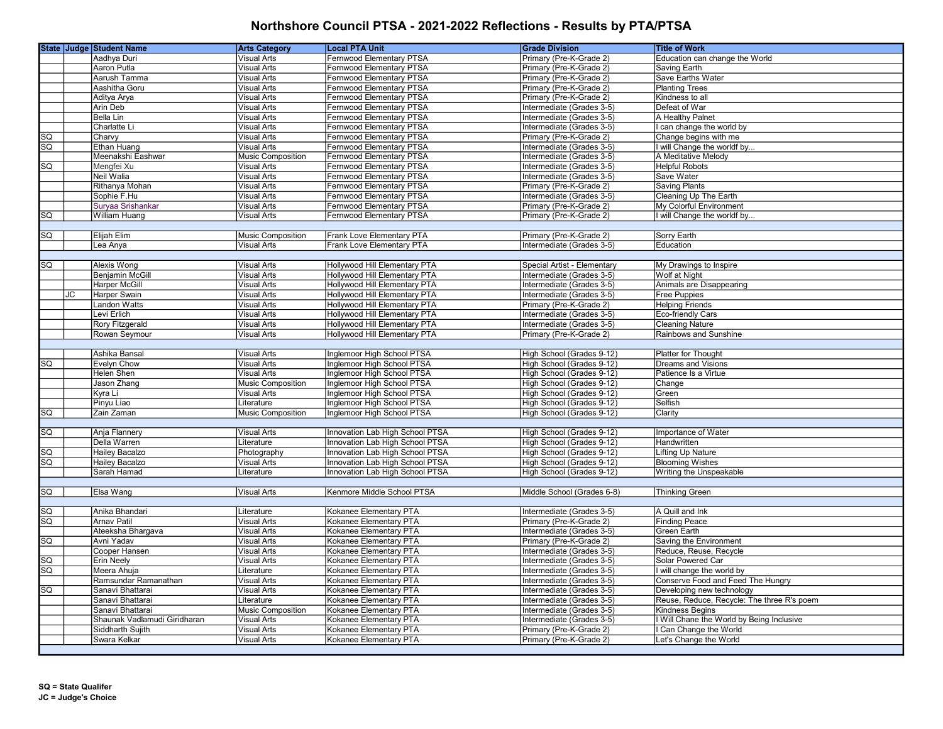|                   |     | State Judge Student Name     | <b>Arts Category</b>     | <b>Local PTA Unit</b>           | <b>Grade Division</b>       | <b>Title of Work</b>                       |
|-------------------|-----|------------------------------|--------------------------|---------------------------------|-----------------------------|--------------------------------------------|
|                   |     | Aadhya Duri                  | <b>Visual Arts</b>       | Fernwood Elementary PTSA        | Primary (Pre-K-Grade 2)     | Education can change the World             |
|                   |     | <b>Aaron Putla</b>           | <b>Visual Arts</b>       | Fernwood Elementary PTSA        | Primary (Pre-K-Grade 2)     | Saving Earth                               |
|                   |     | Aarush Tamma                 | <b>Visual Arts</b>       | Fernwood Elementary PTSA        | Primary (Pre-K-Grade 2)     | Save Earths Water                          |
|                   |     | Aashitha Goru                | <b>Visual Arts</b>       | Fernwood Elementary PTSA        | Primary (Pre-K-Grade 2)     | <b>Planting Trees</b>                      |
|                   |     | Aditya Arya                  | <b>Visual Arts</b>       | Fernwood Elementary PTSA        | Primary (Pre-K-Grade 2)     | Kindness to all                            |
|                   |     | Arin Deb                     | <b>Visual Arts</b>       | Fernwood Elementary PTSA        | Intermediate (Grades 3-5)   | Defeat of War                              |
|                   |     | <b>Bella Lin</b>             | <b>Visual Arts</b>       | <b>Fernwood Elementary PTSA</b> | Intermediate (Grades 3-5)   | A Healthy Palnet                           |
|                   |     | Charlatte Li                 | <b>Visual Arts</b>       | Fernwood Elementary PTSA        | Intermediate (Grades 3-5)   | can change the world by                    |
| SQ                |     | Charvy                       | <b>Visual Arts</b>       | Fernwood Elementary PTSA        | Primary (Pre-K-Grade 2)     | Change begins with me                      |
| $\overline{SQ}$   |     | Ethan Huang                  | <b>Visual Arts</b>       | <b>Fernwood Elementary PTSA</b> | Intermediate (Grades 3-5)   | I will Change the worldf by                |
|                   |     | Meenakshi Eashwar            | <b>Music Composition</b> | Fernwood Elementary PTSA        | Intermediate (Grades 3-5)   | A Meditative Melody                        |
| SQ                |     | Mengfei Xu                   | <b>Visual Arts</b>       | Fernwood Elementary PTSA        | Intermediate (Grades 3-5)   | <b>Helpful Robots</b>                      |
|                   |     | Neil Walia                   | <b>Visual Arts</b>       | Fernwood Elementary PTSA        | Intermediate (Grades 3-5)   | Save Water                                 |
|                   |     | Rithanya Mohan               | <b>Visual Arts</b>       | Fernwood Elementary PTSA        | Primary (Pre-K-Grade 2)     | <b>Saving Plants</b>                       |
|                   |     | Sophie F.Hu                  | <b>Visual Arts</b>       | Fernwood Elementary PTSA        | Intermediate (Grades 3-5)   | Cleaning Up The Earth                      |
|                   |     | Suryaa Srishankar            | <b>Visual Arts</b>       | Fernwood Elementary PTSA        | Primary (Pre-K-Grade 2)     | My Colorful Environment                    |
| $ \overline{SQ} $ |     | <b>William Huang</b>         | <b>Visual Arts</b>       | Fernwood Elementary PTSA        | Primary (Pre-K-Grade 2)     | I will Change the worldf by                |
|                   |     |                              |                          |                                 |                             |                                            |
| SQ                |     | Elijah Elim                  | <b>Music Composition</b> | Frank Love Elementary PTA       | Primary (Pre-K-Grade 2)     | Sorry Earth                                |
|                   |     | Lea Anya                     | <b>Visual Arts</b>       | Frank Love Elementary PTA       | Intermediate (Grades 3-5)   | Education                                  |
|                   |     |                              |                          |                                 |                             |                                            |
| SQ                |     | Alexis Wong                  | <b>Visual Arts</b>       | Hollywood Hill Elementary PTA   | Special Artist - Elementary | My Drawings to Inspire                     |
|                   |     | <b>Benjamin McGill</b>       | <b>Visual Arts</b>       | Hollywood Hill Elementary PTA   | Intermediate (Grades 3-5)   | Wolf at Night                              |
|                   |     | <b>Harper McGill</b>         | <b>Visual Arts</b>       | Hollywood Hill Elementary PTA   | Intermediate (Grades 3-5)   | Animals are Disappearing                   |
|                   | JC. | Harper Swain                 | <b>Visual Arts</b>       | Hollywood Hill Elementary PTA   | Intermediate (Grades 3-5)   | <b>Free Puppies</b>                        |
|                   |     | <b>Landon Watts</b>          | <b>Visual Arts</b>       | Hollywood Hill Elementary PTA   | Primary (Pre-K-Grade 2)     | <b>Helping Friends</b>                     |
|                   |     | Levi Erlich                  | <b>Visual Arts</b>       | Hollywood Hill Elementary PTA   | Intermediate (Grades 3-5)   | Eco-friendly Cars                          |
|                   |     | Rory Fitzgerald              | <b>Visual Arts</b>       | Hollywood Hill Elementary PTA   | Intermediate (Grades 3-5)   | <b>Cleaning Nature</b>                     |
|                   |     | <b>Rowan Seymour</b>         | <b>Visual Arts</b>       | Hollywood Hill Elementary PTA   | Primary (Pre-K-Grade 2)     | Rainbows and Sunshine                      |
|                   |     |                              |                          |                                 |                             |                                            |
|                   |     | Ashika Bansal                | <b>Visual Arts</b>       | Inglemoor High School PTSA      | High School (Grades 9-12)   | Platter for Thought                        |
| $\overline{SQ}$   |     | Evelyn Chow                  | <b>Visual Arts</b>       | Inglemoor High School PTSA      | High School (Grades 9-12)   | <b>Dreams and Visions</b>                  |
|                   |     | <b>Helen Shen</b>            | <b>Visual Arts</b>       | Inglemoor High School PTSA      | High School (Grades 9-12)   | Patience Is a Virtue                       |
|                   |     | Jason Zhang                  | <b>Music Composition</b> | Inglemoor High School PTSA      | High School (Grades 9-12)   | Change                                     |
|                   |     | Kyra Li                      | <b>Visual Arts</b>       | Inglemoor High School PTSA      | High School (Grades 9-12)   | Green                                      |
|                   |     | Pinyu Liao                   | Literature               | Inglemoor High School PTSA      | High School (Grades 9-12)   | Selfish                                    |
| SQ                |     | Zain Zaman                   | Music Composition        | Inglemoor High School PTSA      | High School (Grades 9-12)   | Clarity                                    |
|                   |     |                              |                          |                                 |                             |                                            |
| SG                |     | Anja Flannery                | <b>Visual Arts</b>       | Innovation Lab High School PTSA | High School (Grades 9-12)   | Importance of Water                        |
|                   |     | Della Warren                 | Literature               | Innovation Lab High School PTSA | High School (Grades 9-12)   | Handwritten                                |
| SQ                |     | Hailey Bacalzo               | Photography              | Innovation Lab High School PTSA | High School (Grades 9-12)   | Lifting Up Nature                          |
| $\overline{SQ}$   |     | <b>Hailey Bacalzo</b>        | <b>Visual Arts</b>       | Innovation Lab High School PTSA | High School (Grades 9-12)   | <b>Blooming Wishes</b>                     |
|                   |     | Sarah Hamad                  | Literature               | Innovation Lab High School PTSA | High School (Grades 9-12)   | Writing the Unspeakable                    |
|                   |     |                              |                          |                                 |                             |                                            |
| $\overline{SQ}$   |     | Elsa Wang                    | <b>Visual Arts</b>       | Kenmore Middle School PTSA      | Middle School (Grades 6-8)  | <b>Thinking Green</b>                      |
|                   |     |                              |                          |                                 |                             |                                            |
| SQ                |     | Anika Bhandari               | Literature               | Kokanee Elementary PTA          | Intermediate (Grades 3-5)   | A Quill and Ink                            |
| SQ                |     | <b>Arnav Patil</b>           | <b>Visual Arts</b>       | Kokanee Elementary PTA          | Primary (Pre-K-Grade 2)     | <b>Finding Peace</b>                       |
|                   |     | Ateeksha Bhargava            | <b>Visual Arts</b>       | Kokanee Elementary PTA          | Intermediate (Grades 3-5)   | Green Earth                                |
| SG                |     | Avni Yadav                   | <b>Visual Arts</b>       | Kokanee Elementary PTA          | Primary (Pre-K-Grade 2)     | Saving the Environment                     |
|                   |     | Cooper Hansen                | <b>Visual Arts</b>       | Kokanee Elementary PTA          | Intermediate (Grades 3-5)   | Reduce, Reuse, Recycle                     |
| SG                |     | <b>Erin Neely</b>            | <b>Visual Arts</b>       | Kokanee Elementary PTA          | Intermediate (Grades 3-5)   | Solar Powered Car                          |
| $\overline{SQ}$   |     | Meera Ahuja                  | Literature               | Kokanee Elementary PTA          | Intermediate (Grades 3-5)   | I will change the world by                 |
|                   |     | Ramsundar Ramanathan         | <b>Visual Arts</b>       | Kokanee Elementary PTA          | Intermediate (Grades 3-5)   | Conserve Food and Feed The Hungry          |
| $\overline{SQ}$   |     | Sanavi Bhattarai             | <b>Visual Arts</b>       | Kokanee Elementary PTA          | Intermediate (Grades 3-5)   | Developing new technology                  |
|                   |     | Sanavi Bhattarai             | Literature               | Kokanee Elementary PTA          | Intermediate (Grades 3-5)   | Reuse, Reduce, Recycle: The three R's poem |
|                   |     | Sanavi Bhattarai             | <b>Music Composition</b> | Kokanee Elementary PTA          | Intermediate (Grades 3-5)   | <b>Kindness Begins</b>                     |
|                   |     | Shaunak Vadlamudi Giridharan | <b>Visual Arts</b>       | Kokanee Elementary PTA          | Intermediate (Grades 3-5)   | I Will Chane the World by Being Inclusive  |
|                   |     | Siddharth Sujith             | <b>Visual Arts</b>       | Kokanee Elementary PTA          | Primary (Pre-K-Grade 2)     | I Can Change the World                     |
|                   |     | Swara Kelkar                 | <b>Visual Arts</b>       | Kokanee Elementary PTA          | Primary (Pre-K-Grade 2)     | Let's Change the World                     |
|                   |     |                              |                          |                                 |                             |                                            |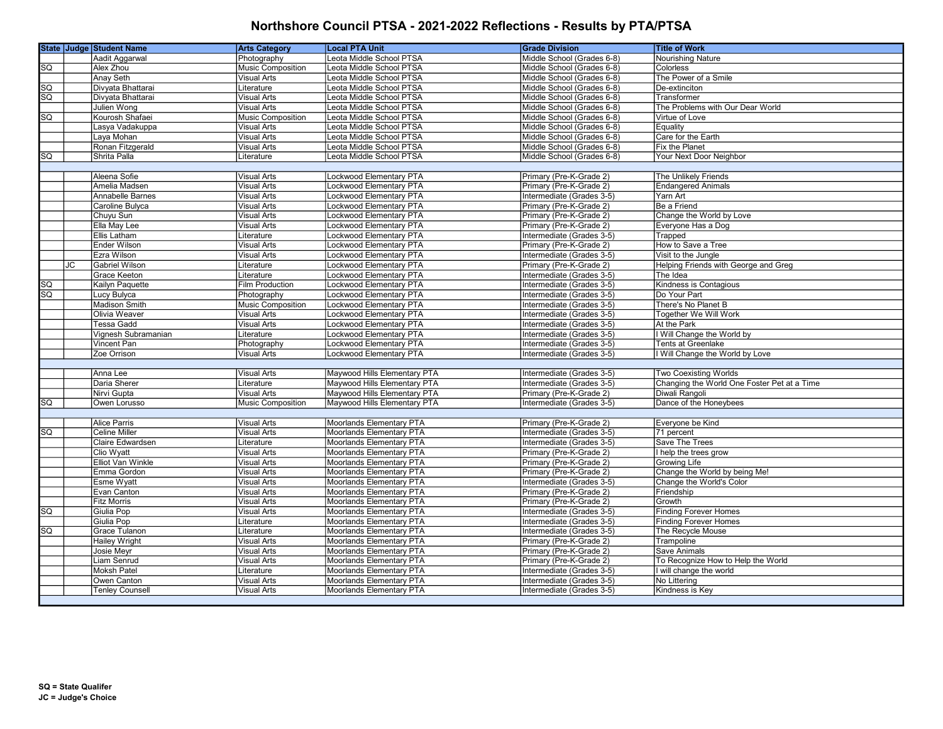| Aadit Aggarwal<br>Photography<br>Leota Middle School PTSA<br>Middle School (Grades 6-8)<br>Nourishing Nature<br>SG<br>Leota Middle School PTSA<br>Alex Zhou<br><b>Music Composition</b><br>Middle School (Grades 6-8)<br>Colorless<br>Anay Seth<br><b>Visual Arts</b><br>Leota Middle School PTSA<br>Middle School (Grades 6-8)<br>The Power of a Smile<br>$\overline{SQ}$<br>Divyata Bhattarai<br>Literature<br>Leota Middle School PTSA<br>Middle School (Grades 6-8)<br>De-extinciton<br>SG<br><b>Visual Arts</b><br>Divyata Bhattarai<br>Leota Middle School PTSA<br>Middle School (Grades 6-8)<br>Transformer<br>Julien Wong<br><b>Visual Arts</b><br>Leota Middle School PTSA<br>Middle School (Grades 6-8)<br>The Problems with Our Dear World<br>SQ<br>Kourosh Shafaei<br><b>Music Composition</b><br>Leota Middle School PTSA<br>Middle School (Grades 6-8)<br>Virtue of Love<br>Lasya Vadakuppa<br><b>Visual Arts</b><br>Leota Middle School PTSA<br>Middle School (Grades 6-8)<br>Equality<br><b>Visual Arts</b><br>Leota Middle School PTSA<br>Middle School (Grades 6-8)<br>Care for the Earth<br>Laya Mohan<br>Ronan Fitzgerald<br><b>Visual Arts</b><br>Leota Middle School PTSA<br>Middle School (Grades 6-8)<br>Fix the Planet<br>Leota Middle School PTSA<br>SQ<br>Shrita Palla<br>Literature<br>Middle School (Grades 6-8)<br>Your Next Door Neighbor<br>Aleena Sofie<br><b>Visual Arts</b><br>Lockwood Elementary PTA<br>Primary (Pre-K-Grade 2)<br>The Unlikely Friends<br>Amelia Madsen<br><b>Visual Arts</b><br>Lockwood Elementary PTA<br>Primary (Pre-K-Grade 2)<br><b>Endangered Animals</b><br>Annabelle Barnes<br><b>Visual Arts</b><br>Lockwood Elementary PTA<br>Intermediate (Grades 3-5)<br>Yarn Art<br><b>Visual Arts</b><br>Lockwood Elementary PTA<br>Primary (Pre-K-Grade 2)<br>Be a Friend<br>Caroline Bulyca<br>Lockwood Elementary PTA<br>Chuyu Sun<br><b>Visual Arts</b><br>Primary (Pre-K-Grade 2)<br>Change the World by Love<br>Ella May Lee<br><b>Visual Arts</b><br>Lockwood Elementary PTA<br>Primary (Pre-K-Grade 2)<br>Everyone Has a Dog<br>Lockwood Elementary PTA<br>Ellis Latham<br>Literature<br>Intermediate (Grades 3-5)<br>Trapped<br><b>Ender Wilson</b><br>Lockwood Elementary PTA<br>How to Save a Tree<br><b>Visual Arts</b><br>Primary (Pre-K-Grade 2)<br>Ezra Wilson<br><b>Visual Arts</b><br>Lockwood Elementary PTA<br>Visit to the Jungle<br>Intermediate (Grades 3-5)<br>Lockwood Elementary PTA<br>JC.<br><b>Gabriel Wilson</b><br>Literature<br>Primary (Pre-K-Grade 2)<br>Helping Friends with George and Greg<br>Grace Keeton<br>Literature<br>Lockwood Elementary PTA<br>Intermediate (Grades 3-5)<br>The Idea<br>SQ<br>Film Production<br>Lockwood Elementary PTA<br>Intermediate (Grades 3-5)<br>Kindness is Contagious<br>Kailyn Paquette<br>SG<br>Lockwood Elementary PTA<br>Intermediate (Grades 3-5)<br>Do Your Part<br>Lucy Bulyca<br>Photography<br>Lockwood Elementary PTA<br>There's No Planet B<br><b>Madison Smith</b><br><b>Music Composition</b><br>Intermediate (Grades 3-5)<br>Olivia Weaver<br><b>Visual Arts</b><br>Lockwood Elementary PTA<br>Intermediate (Grades 3-5)<br>Together We Will Work<br>Tessa Gadd<br><b>Visual Arts</b><br>Lockwood Elementary PTA<br>Intermediate (Grades 3-5)<br>At the Park<br>I Will Change the World by<br>Vignesh Subramanian<br>Lockwood Elementary PTA<br>Intermediate (Grades 3-5)<br>Literature<br>Vincent Pan<br>Lockwood Elementary PTA<br>Intermediate (Grades 3-5)<br><b>Tents at Greenlake</b><br>Photography<br>I Will Change the World by Love<br>Zoe Orrison<br><b>Visual Arts</b><br>Lockwood Elementary PTA<br>Intermediate (Grades 3-5)<br>Anna Lee<br><b>Visual Arts</b><br>Maywood Hills Elementary PTA<br>Intermediate (Grades 3-5)<br><b>Two Coexisting Worlds</b><br>Daria Sherer<br>Literature<br>Maywood Hills Elementary PTA<br>Intermediate (Grades 3-5)<br>Changing the World One Foster Pet at a Time<br>Nirvi Gupta<br><b>Visual Arts</b><br>Maywood Hills Elementary PTA<br>Primary (Pre-K-Grade 2)<br>Diwali Rangoli<br>SO<br>Maywood Hills Elementary PTA<br>Intermediate (Grades 3-5)<br>Dance of the Honeybees<br>Owen Lorusso<br><b>Music Composition</b><br><b>Alice Parris</b><br><b>Visual Arts</b><br>Moorlands Elementary PTA<br>Primary (Pre-K-Grade 2)<br>Everyone be Kind<br>SG<br><b>Celine Miller</b><br><b>Visual Arts</b><br>Moorlands Elementary PTA<br>Intermediate (Grades 3-5)<br>71 percent<br>Claire Edwardsen<br>Literature<br>Moorlands Elementary PTA<br>Intermediate (Grades 3-5)<br><b>Save The Trees</b><br>Clio Wyatt<br><b>Visual Arts</b><br><b>Moorlands Elementary PTA</b><br>Primary (Pre-K-Grade 2)<br>I help the trees grow<br><b>Elliot Van Winkle</b><br><b>Visual Arts</b><br><b>Moorlands Elementary PTA</b><br>Primary (Pre-K-Grade 2)<br><b>Growing Life</b><br>Emma Gordon<br><b>Visual Arts</b><br><b>Moorlands Elementary PTA</b><br>Change the World by being Me!<br>Primary (Pre-K-Grade 2)<br>Esme Wyatt<br><b>Moorlands Elementary PTA</b><br>Change the World's Color<br><b>Visual Arts</b><br>Intermediate (Grades 3-5)<br>Evan Canton<br><b>Visual Arts</b><br><b>Moorlands Elementary PTA</b><br>Primary (Pre-K-Grade 2)<br>Friendship<br><b>Fitz Morris</b><br><b>Visual Arts</b><br>Moorlands Elementary PTA<br>Primary (Pre-K-Grade 2)<br>Growth<br>SO<br><b>Visual Arts</b><br>Moorlands Elementary PTA<br><b>Finding Forever Homes</b><br>Giulia Pop<br>Intermediate (Grades 3-5)<br><b>Moorlands Elementary PTA</b><br>Giulia Pop<br>Literature<br>Intermediate (Grades 3-5)<br><b>Finding Forever Homes</b><br>SQ<br>Moorlands Elementary PTA<br>The Recycle Mouse<br>Grace Tulanon<br>Literature<br>Intermediate (Grades 3-5)<br><b>Hailey Wright</b><br><b>Visual Arts</b><br>Moorlands Elementary PTA<br>Primary (Pre-K-Grade 2)<br>Trampoline<br><b>Visual Arts</b><br><b>Moorlands Elementary PTA</b><br><b>Save Animals</b><br>Josie Meyr<br>Primary (Pre-K-Grade 2)<br>Liam Senrud<br>Moorlands Elementary PTA<br><b>Visual Arts</b><br>Primary (Pre-K-Grade 2)<br>To Recognize How to Help the World |  | State Judge Student Name | <b>Arts Category</b> | <b>Local PTA Unit</b>           | <b>Grade Division</b>     | <b>Title of Work</b>    |
|------------------------------------------------------------------------------------------------------------------------------------------------------------------------------------------------------------------------------------------------------------------------------------------------------------------------------------------------------------------------------------------------------------------------------------------------------------------------------------------------------------------------------------------------------------------------------------------------------------------------------------------------------------------------------------------------------------------------------------------------------------------------------------------------------------------------------------------------------------------------------------------------------------------------------------------------------------------------------------------------------------------------------------------------------------------------------------------------------------------------------------------------------------------------------------------------------------------------------------------------------------------------------------------------------------------------------------------------------------------------------------------------------------------------------------------------------------------------------------------------------------------------------------------------------------------------------------------------------------------------------------------------------------------------------------------------------------------------------------------------------------------------------------------------------------------------------------------------------------------------------------------------------------------------------------------------------------------------------------------------------------------------------------------------------------------------------------------------------------------------------------------------------------------------------------------------------------------------------------------------------------------------------------------------------------------------------------------------------------------------------------------------------------------------------------------------------------------------------------------------------------------------------------------------------------------------------------------------------------------------------------------------------------------------------------------------------------------------------------------------------------------------------------------------------------------------------------------------------------------------------------------------------------------------------------------------------------------------------------------------------------------------------------------------------------------------------------------------------------------------------------------------------------------------------------------------------------------------------------------------------------------------------------------------------------------------------------------------------------------------------------------------------------------------------------------------------------------------------------------------------------------------------------------------------------------------------------------------------------------------------------------------------------------------------------------------------------------------------------------------------------------------------------------------------------------------------------------------------------------------------------------------------------------------------------------------------------------------------------------------------------------------------------------------------------------------------------------------------------------------------------------------------------------------------------------------------------------------------------------------------------------------------------------------------------------------------------------------------------------------------------------------------------------------------------------------------------------------------------------------------------------------------------------------------------------------------------------------------------------------------------------------------------------------------------------------------------------------------------------------------------------------------------------------------------------------------------------------------------------------------------------------------------------------------------------------------------------------------------------------------------------------------------------------------------------------------------------------------------------------------------------------------------------------------------------------------------------------------------------------------------------------------------------------------------------------------------------------------------------------------------------------------------------------------------------------------------------------------------------------------------------------------------------------------------------------------------------------------------------------------------------------------------------------------------------------------------------------------------------------------------------------------------------------------------------------------------------------------------------------------------------------------------------------------------------------------------------------------------------------------------------------------------------------------------------------------------------------------------------------------------|--|--------------------------|----------------------|---------------------------------|---------------------------|-------------------------|
|                                                                                                                                                                                                                                                                                                                                                                                                                                                                                                                                                                                                                                                                                                                                                                                                                                                                                                                                                                                                                                                                                                                                                                                                                                                                                                                                                                                                                                                                                                                                                                                                                                                                                                                                                                                                                                                                                                                                                                                                                                                                                                                                                                                                                                                                                                                                                                                                                                                                                                                                                                                                                                                                                                                                                                                                                                                                                                                                                                                                                                                                                                                                                                                                                                                                                                                                                                                                                                                                                                                                                                                                                                                                                                                                                                                                                                                                                                                                                                                                                                                                                                                                                                                                                                                                                                                                                                                                                                                                                                                                                                                                                                                                                                                                                                                                                                                                                                                                                                                                                                                                                                                                                                                                                                                                                                                                                                                                                                                                                                                                                                                                                                                                                                                                                                                                                                                                                                                                                                                                                                                                                                                                    |  |                          |                      |                                 |                           |                         |
|                                                                                                                                                                                                                                                                                                                                                                                                                                                                                                                                                                                                                                                                                                                                                                                                                                                                                                                                                                                                                                                                                                                                                                                                                                                                                                                                                                                                                                                                                                                                                                                                                                                                                                                                                                                                                                                                                                                                                                                                                                                                                                                                                                                                                                                                                                                                                                                                                                                                                                                                                                                                                                                                                                                                                                                                                                                                                                                                                                                                                                                                                                                                                                                                                                                                                                                                                                                                                                                                                                                                                                                                                                                                                                                                                                                                                                                                                                                                                                                                                                                                                                                                                                                                                                                                                                                                                                                                                                                                                                                                                                                                                                                                                                                                                                                                                                                                                                                                                                                                                                                                                                                                                                                                                                                                                                                                                                                                                                                                                                                                                                                                                                                                                                                                                                                                                                                                                                                                                                                                                                                                                                                                    |  |                          |                      |                                 |                           |                         |
|                                                                                                                                                                                                                                                                                                                                                                                                                                                                                                                                                                                                                                                                                                                                                                                                                                                                                                                                                                                                                                                                                                                                                                                                                                                                                                                                                                                                                                                                                                                                                                                                                                                                                                                                                                                                                                                                                                                                                                                                                                                                                                                                                                                                                                                                                                                                                                                                                                                                                                                                                                                                                                                                                                                                                                                                                                                                                                                                                                                                                                                                                                                                                                                                                                                                                                                                                                                                                                                                                                                                                                                                                                                                                                                                                                                                                                                                                                                                                                                                                                                                                                                                                                                                                                                                                                                                                                                                                                                                                                                                                                                                                                                                                                                                                                                                                                                                                                                                                                                                                                                                                                                                                                                                                                                                                                                                                                                                                                                                                                                                                                                                                                                                                                                                                                                                                                                                                                                                                                                                                                                                                                                                    |  |                          |                      |                                 |                           |                         |
|                                                                                                                                                                                                                                                                                                                                                                                                                                                                                                                                                                                                                                                                                                                                                                                                                                                                                                                                                                                                                                                                                                                                                                                                                                                                                                                                                                                                                                                                                                                                                                                                                                                                                                                                                                                                                                                                                                                                                                                                                                                                                                                                                                                                                                                                                                                                                                                                                                                                                                                                                                                                                                                                                                                                                                                                                                                                                                                                                                                                                                                                                                                                                                                                                                                                                                                                                                                                                                                                                                                                                                                                                                                                                                                                                                                                                                                                                                                                                                                                                                                                                                                                                                                                                                                                                                                                                                                                                                                                                                                                                                                                                                                                                                                                                                                                                                                                                                                                                                                                                                                                                                                                                                                                                                                                                                                                                                                                                                                                                                                                                                                                                                                                                                                                                                                                                                                                                                                                                                                                                                                                                                                                    |  |                          |                      |                                 |                           |                         |
|                                                                                                                                                                                                                                                                                                                                                                                                                                                                                                                                                                                                                                                                                                                                                                                                                                                                                                                                                                                                                                                                                                                                                                                                                                                                                                                                                                                                                                                                                                                                                                                                                                                                                                                                                                                                                                                                                                                                                                                                                                                                                                                                                                                                                                                                                                                                                                                                                                                                                                                                                                                                                                                                                                                                                                                                                                                                                                                                                                                                                                                                                                                                                                                                                                                                                                                                                                                                                                                                                                                                                                                                                                                                                                                                                                                                                                                                                                                                                                                                                                                                                                                                                                                                                                                                                                                                                                                                                                                                                                                                                                                                                                                                                                                                                                                                                                                                                                                                                                                                                                                                                                                                                                                                                                                                                                                                                                                                                                                                                                                                                                                                                                                                                                                                                                                                                                                                                                                                                                                                                                                                                                                                    |  |                          |                      |                                 |                           |                         |
|                                                                                                                                                                                                                                                                                                                                                                                                                                                                                                                                                                                                                                                                                                                                                                                                                                                                                                                                                                                                                                                                                                                                                                                                                                                                                                                                                                                                                                                                                                                                                                                                                                                                                                                                                                                                                                                                                                                                                                                                                                                                                                                                                                                                                                                                                                                                                                                                                                                                                                                                                                                                                                                                                                                                                                                                                                                                                                                                                                                                                                                                                                                                                                                                                                                                                                                                                                                                                                                                                                                                                                                                                                                                                                                                                                                                                                                                                                                                                                                                                                                                                                                                                                                                                                                                                                                                                                                                                                                                                                                                                                                                                                                                                                                                                                                                                                                                                                                                                                                                                                                                                                                                                                                                                                                                                                                                                                                                                                                                                                                                                                                                                                                                                                                                                                                                                                                                                                                                                                                                                                                                                                                                    |  |                          |                      |                                 |                           |                         |
|                                                                                                                                                                                                                                                                                                                                                                                                                                                                                                                                                                                                                                                                                                                                                                                                                                                                                                                                                                                                                                                                                                                                                                                                                                                                                                                                                                                                                                                                                                                                                                                                                                                                                                                                                                                                                                                                                                                                                                                                                                                                                                                                                                                                                                                                                                                                                                                                                                                                                                                                                                                                                                                                                                                                                                                                                                                                                                                                                                                                                                                                                                                                                                                                                                                                                                                                                                                                                                                                                                                                                                                                                                                                                                                                                                                                                                                                                                                                                                                                                                                                                                                                                                                                                                                                                                                                                                                                                                                                                                                                                                                                                                                                                                                                                                                                                                                                                                                                                                                                                                                                                                                                                                                                                                                                                                                                                                                                                                                                                                                                                                                                                                                                                                                                                                                                                                                                                                                                                                                                                                                                                                                                    |  |                          |                      |                                 |                           |                         |
|                                                                                                                                                                                                                                                                                                                                                                                                                                                                                                                                                                                                                                                                                                                                                                                                                                                                                                                                                                                                                                                                                                                                                                                                                                                                                                                                                                                                                                                                                                                                                                                                                                                                                                                                                                                                                                                                                                                                                                                                                                                                                                                                                                                                                                                                                                                                                                                                                                                                                                                                                                                                                                                                                                                                                                                                                                                                                                                                                                                                                                                                                                                                                                                                                                                                                                                                                                                                                                                                                                                                                                                                                                                                                                                                                                                                                                                                                                                                                                                                                                                                                                                                                                                                                                                                                                                                                                                                                                                                                                                                                                                                                                                                                                                                                                                                                                                                                                                                                                                                                                                                                                                                                                                                                                                                                                                                                                                                                                                                                                                                                                                                                                                                                                                                                                                                                                                                                                                                                                                                                                                                                                                                    |  |                          |                      |                                 |                           |                         |
|                                                                                                                                                                                                                                                                                                                                                                                                                                                                                                                                                                                                                                                                                                                                                                                                                                                                                                                                                                                                                                                                                                                                                                                                                                                                                                                                                                                                                                                                                                                                                                                                                                                                                                                                                                                                                                                                                                                                                                                                                                                                                                                                                                                                                                                                                                                                                                                                                                                                                                                                                                                                                                                                                                                                                                                                                                                                                                                                                                                                                                                                                                                                                                                                                                                                                                                                                                                                                                                                                                                                                                                                                                                                                                                                                                                                                                                                                                                                                                                                                                                                                                                                                                                                                                                                                                                                                                                                                                                                                                                                                                                                                                                                                                                                                                                                                                                                                                                                                                                                                                                                                                                                                                                                                                                                                                                                                                                                                                                                                                                                                                                                                                                                                                                                                                                                                                                                                                                                                                                                                                                                                                                                    |  |                          |                      |                                 |                           |                         |
|                                                                                                                                                                                                                                                                                                                                                                                                                                                                                                                                                                                                                                                                                                                                                                                                                                                                                                                                                                                                                                                                                                                                                                                                                                                                                                                                                                                                                                                                                                                                                                                                                                                                                                                                                                                                                                                                                                                                                                                                                                                                                                                                                                                                                                                                                                                                                                                                                                                                                                                                                                                                                                                                                                                                                                                                                                                                                                                                                                                                                                                                                                                                                                                                                                                                                                                                                                                                                                                                                                                                                                                                                                                                                                                                                                                                                                                                                                                                                                                                                                                                                                                                                                                                                                                                                                                                                                                                                                                                                                                                                                                                                                                                                                                                                                                                                                                                                                                                                                                                                                                                                                                                                                                                                                                                                                                                                                                                                                                                                                                                                                                                                                                                                                                                                                                                                                                                                                                                                                                                                                                                                                                                    |  |                          |                      |                                 |                           |                         |
|                                                                                                                                                                                                                                                                                                                                                                                                                                                                                                                                                                                                                                                                                                                                                                                                                                                                                                                                                                                                                                                                                                                                                                                                                                                                                                                                                                                                                                                                                                                                                                                                                                                                                                                                                                                                                                                                                                                                                                                                                                                                                                                                                                                                                                                                                                                                                                                                                                                                                                                                                                                                                                                                                                                                                                                                                                                                                                                                                                                                                                                                                                                                                                                                                                                                                                                                                                                                                                                                                                                                                                                                                                                                                                                                                                                                                                                                                                                                                                                                                                                                                                                                                                                                                                                                                                                                                                                                                                                                                                                                                                                                                                                                                                                                                                                                                                                                                                                                                                                                                                                                                                                                                                                                                                                                                                                                                                                                                                                                                                                                                                                                                                                                                                                                                                                                                                                                                                                                                                                                                                                                                                                                    |  |                          |                      |                                 |                           |                         |
|                                                                                                                                                                                                                                                                                                                                                                                                                                                                                                                                                                                                                                                                                                                                                                                                                                                                                                                                                                                                                                                                                                                                                                                                                                                                                                                                                                                                                                                                                                                                                                                                                                                                                                                                                                                                                                                                                                                                                                                                                                                                                                                                                                                                                                                                                                                                                                                                                                                                                                                                                                                                                                                                                                                                                                                                                                                                                                                                                                                                                                                                                                                                                                                                                                                                                                                                                                                                                                                                                                                                                                                                                                                                                                                                                                                                                                                                                                                                                                                                                                                                                                                                                                                                                                                                                                                                                                                                                                                                                                                                                                                                                                                                                                                                                                                                                                                                                                                                                                                                                                                                                                                                                                                                                                                                                                                                                                                                                                                                                                                                                                                                                                                                                                                                                                                                                                                                                                                                                                                                                                                                                                                                    |  |                          |                      |                                 |                           |                         |
|                                                                                                                                                                                                                                                                                                                                                                                                                                                                                                                                                                                                                                                                                                                                                                                                                                                                                                                                                                                                                                                                                                                                                                                                                                                                                                                                                                                                                                                                                                                                                                                                                                                                                                                                                                                                                                                                                                                                                                                                                                                                                                                                                                                                                                                                                                                                                                                                                                                                                                                                                                                                                                                                                                                                                                                                                                                                                                                                                                                                                                                                                                                                                                                                                                                                                                                                                                                                                                                                                                                                                                                                                                                                                                                                                                                                                                                                                                                                                                                                                                                                                                                                                                                                                                                                                                                                                                                                                                                                                                                                                                                                                                                                                                                                                                                                                                                                                                                                                                                                                                                                                                                                                                                                                                                                                                                                                                                                                                                                                                                                                                                                                                                                                                                                                                                                                                                                                                                                                                                                                                                                                                                                    |  |                          |                      |                                 |                           |                         |
|                                                                                                                                                                                                                                                                                                                                                                                                                                                                                                                                                                                                                                                                                                                                                                                                                                                                                                                                                                                                                                                                                                                                                                                                                                                                                                                                                                                                                                                                                                                                                                                                                                                                                                                                                                                                                                                                                                                                                                                                                                                                                                                                                                                                                                                                                                                                                                                                                                                                                                                                                                                                                                                                                                                                                                                                                                                                                                                                                                                                                                                                                                                                                                                                                                                                                                                                                                                                                                                                                                                                                                                                                                                                                                                                                                                                                                                                                                                                                                                                                                                                                                                                                                                                                                                                                                                                                                                                                                                                                                                                                                                                                                                                                                                                                                                                                                                                                                                                                                                                                                                                                                                                                                                                                                                                                                                                                                                                                                                                                                                                                                                                                                                                                                                                                                                                                                                                                                                                                                                                                                                                                                                                    |  |                          |                      |                                 |                           |                         |
|                                                                                                                                                                                                                                                                                                                                                                                                                                                                                                                                                                                                                                                                                                                                                                                                                                                                                                                                                                                                                                                                                                                                                                                                                                                                                                                                                                                                                                                                                                                                                                                                                                                                                                                                                                                                                                                                                                                                                                                                                                                                                                                                                                                                                                                                                                                                                                                                                                                                                                                                                                                                                                                                                                                                                                                                                                                                                                                                                                                                                                                                                                                                                                                                                                                                                                                                                                                                                                                                                                                                                                                                                                                                                                                                                                                                                                                                                                                                                                                                                                                                                                                                                                                                                                                                                                                                                                                                                                                                                                                                                                                                                                                                                                                                                                                                                                                                                                                                                                                                                                                                                                                                                                                                                                                                                                                                                                                                                                                                                                                                                                                                                                                                                                                                                                                                                                                                                                                                                                                                                                                                                                                                    |  |                          |                      |                                 |                           |                         |
|                                                                                                                                                                                                                                                                                                                                                                                                                                                                                                                                                                                                                                                                                                                                                                                                                                                                                                                                                                                                                                                                                                                                                                                                                                                                                                                                                                                                                                                                                                                                                                                                                                                                                                                                                                                                                                                                                                                                                                                                                                                                                                                                                                                                                                                                                                                                                                                                                                                                                                                                                                                                                                                                                                                                                                                                                                                                                                                                                                                                                                                                                                                                                                                                                                                                                                                                                                                                                                                                                                                                                                                                                                                                                                                                                                                                                                                                                                                                                                                                                                                                                                                                                                                                                                                                                                                                                                                                                                                                                                                                                                                                                                                                                                                                                                                                                                                                                                                                                                                                                                                                                                                                                                                                                                                                                                                                                                                                                                                                                                                                                                                                                                                                                                                                                                                                                                                                                                                                                                                                                                                                                                                                    |  |                          |                      |                                 |                           |                         |
|                                                                                                                                                                                                                                                                                                                                                                                                                                                                                                                                                                                                                                                                                                                                                                                                                                                                                                                                                                                                                                                                                                                                                                                                                                                                                                                                                                                                                                                                                                                                                                                                                                                                                                                                                                                                                                                                                                                                                                                                                                                                                                                                                                                                                                                                                                                                                                                                                                                                                                                                                                                                                                                                                                                                                                                                                                                                                                                                                                                                                                                                                                                                                                                                                                                                                                                                                                                                                                                                                                                                                                                                                                                                                                                                                                                                                                                                                                                                                                                                                                                                                                                                                                                                                                                                                                                                                                                                                                                                                                                                                                                                                                                                                                                                                                                                                                                                                                                                                                                                                                                                                                                                                                                                                                                                                                                                                                                                                                                                                                                                                                                                                                                                                                                                                                                                                                                                                                                                                                                                                                                                                                                                    |  |                          |                      |                                 |                           |                         |
|                                                                                                                                                                                                                                                                                                                                                                                                                                                                                                                                                                                                                                                                                                                                                                                                                                                                                                                                                                                                                                                                                                                                                                                                                                                                                                                                                                                                                                                                                                                                                                                                                                                                                                                                                                                                                                                                                                                                                                                                                                                                                                                                                                                                                                                                                                                                                                                                                                                                                                                                                                                                                                                                                                                                                                                                                                                                                                                                                                                                                                                                                                                                                                                                                                                                                                                                                                                                                                                                                                                                                                                                                                                                                                                                                                                                                                                                                                                                                                                                                                                                                                                                                                                                                                                                                                                                                                                                                                                                                                                                                                                                                                                                                                                                                                                                                                                                                                                                                                                                                                                                                                                                                                                                                                                                                                                                                                                                                                                                                                                                                                                                                                                                                                                                                                                                                                                                                                                                                                                                                                                                                                                                    |  |                          |                      |                                 |                           |                         |
|                                                                                                                                                                                                                                                                                                                                                                                                                                                                                                                                                                                                                                                                                                                                                                                                                                                                                                                                                                                                                                                                                                                                                                                                                                                                                                                                                                                                                                                                                                                                                                                                                                                                                                                                                                                                                                                                                                                                                                                                                                                                                                                                                                                                                                                                                                                                                                                                                                                                                                                                                                                                                                                                                                                                                                                                                                                                                                                                                                                                                                                                                                                                                                                                                                                                                                                                                                                                                                                                                                                                                                                                                                                                                                                                                                                                                                                                                                                                                                                                                                                                                                                                                                                                                                                                                                                                                                                                                                                                                                                                                                                                                                                                                                                                                                                                                                                                                                                                                                                                                                                                                                                                                                                                                                                                                                                                                                                                                                                                                                                                                                                                                                                                                                                                                                                                                                                                                                                                                                                                                                                                                                                                    |  |                          |                      |                                 |                           |                         |
|                                                                                                                                                                                                                                                                                                                                                                                                                                                                                                                                                                                                                                                                                                                                                                                                                                                                                                                                                                                                                                                                                                                                                                                                                                                                                                                                                                                                                                                                                                                                                                                                                                                                                                                                                                                                                                                                                                                                                                                                                                                                                                                                                                                                                                                                                                                                                                                                                                                                                                                                                                                                                                                                                                                                                                                                                                                                                                                                                                                                                                                                                                                                                                                                                                                                                                                                                                                                                                                                                                                                                                                                                                                                                                                                                                                                                                                                                                                                                                                                                                                                                                                                                                                                                                                                                                                                                                                                                                                                                                                                                                                                                                                                                                                                                                                                                                                                                                                                                                                                                                                                                                                                                                                                                                                                                                                                                                                                                                                                                                                                                                                                                                                                                                                                                                                                                                                                                                                                                                                                                                                                                                                                    |  |                          |                      |                                 |                           |                         |
|                                                                                                                                                                                                                                                                                                                                                                                                                                                                                                                                                                                                                                                                                                                                                                                                                                                                                                                                                                                                                                                                                                                                                                                                                                                                                                                                                                                                                                                                                                                                                                                                                                                                                                                                                                                                                                                                                                                                                                                                                                                                                                                                                                                                                                                                                                                                                                                                                                                                                                                                                                                                                                                                                                                                                                                                                                                                                                                                                                                                                                                                                                                                                                                                                                                                                                                                                                                                                                                                                                                                                                                                                                                                                                                                                                                                                                                                                                                                                                                                                                                                                                                                                                                                                                                                                                                                                                                                                                                                                                                                                                                                                                                                                                                                                                                                                                                                                                                                                                                                                                                                                                                                                                                                                                                                                                                                                                                                                                                                                                                                                                                                                                                                                                                                                                                                                                                                                                                                                                                                                                                                                                                                    |  |                          |                      |                                 |                           |                         |
|                                                                                                                                                                                                                                                                                                                                                                                                                                                                                                                                                                                                                                                                                                                                                                                                                                                                                                                                                                                                                                                                                                                                                                                                                                                                                                                                                                                                                                                                                                                                                                                                                                                                                                                                                                                                                                                                                                                                                                                                                                                                                                                                                                                                                                                                                                                                                                                                                                                                                                                                                                                                                                                                                                                                                                                                                                                                                                                                                                                                                                                                                                                                                                                                                                                                                                                                                                                                                                                                                                                                                                                                                                                                                                                                                                                                                                                                                                                                                                                                                                                                                                                                                                                                                                                                                                                                                                                                                                                                                                                                                                                                                                                                                                                                                                                                                                                                                                                                                                                                                                                                                                                                                                                                                                                                                                                                                                                                                                                                                                                                                                                                                                                                                                                                                                                                                                                                                                                                                                                                                                                                                                                                    |  |                          |                      |                                 |                           |                         |
|                                                                                                                                                                                                                                                                                                                                                                                                                                                                                                                                                                                                                                                                                                                                                                                                                                                                                                                                                                                                                                                                                                                                                                                                                                                                                                                                                                                                                                                                                                                                                                                                                                                                                                                                                                                                                                                                                                                                                                                                                                                                                                                                                                                                                                                                                                                                                                                                                                                                                                                                                                                                                                                                                                                                                                                                                                                                                                                                                                                                                                                                                                                                                                                                                                                                                                                                                                                                                                                                                                                                                                                                                                                                                                                                                                                                                                                                                                                                                                                                                                                                                                                                                                                                                                                                                                                                                                                                                                                                                                                                                                                                                                                                                                                                                                                                                                                                                                                                                                                                                                                                                                                                                                                                                                                                                                                                                                                                                                                                                                                                                                                                                                                                                                                                                                                                                                                                                                                                                                                                                                                                                                                                    |  |                          |                      |                                 |                           |                         |
|                                                                                                                                                                                                                                                                                                                                                                                                                                                                                                                                                                                                                                                                                                                                                                                                                                                                                                                                                                                                                                                                                                                                                                                                                                                                                                                                                                                                                                                                                                                                                                                                                                                                                                                                                                                                                                                                                                                                                                                                                                                                                                                                                                                                                                                                                                                                                                                                                                                                                                                                                                                                                                                                                                                                                                                                                                                                                                                                                                                                                                                                                                                                                                                                                                                                                                                                                                                                                                                                                                                                                                                                                                                                                                                                                                                                                                                                                                                                                                                                                                                                                                                                                                                                                                                                                                                                                                                                                                                                                                                                                                                                                                                                                                                                                                                                                                                                                                                                                                                                                                                                                                                                                                                                                                                                                                                                                                                                                                                                                                                                                                                                                                                                                                                                                                                                                                                                                                                                                                                                                                                                                                                                    |  |                          |                      |                                 |                           |                         |
|                                                                                                                                                                                                                                                                                                                                                                                                                                                                                                                                                                                                                                                                                                                                                                                                                                                                                                                                                                                                                                                                                                                                                                                                                                                                                                                                                                                                                                                                                                                                                                                                                                                                                                                                                                                                                                                                                                                                                                                                                                                                                                                                                                                                                                                                                                                                                                                                                                                                                                                                                                                                                                                                                                                                                                                                                                                                                                                                                                                                                                                                                                                                                                                                                                                                                                                                                                                                                                                                                                                                                                                                                                                                                                                                                                                                                                                                                                                                                                                                                                                                                                                                                                                                                                                                                                                                                                                                                                                                                                                                                                                                                                                                                                                                                                                                                                                                                                                                                                                                                                                                                                                                                                                                                                                                                                                                                                                                                                                                                                                                                                                                                                                                                                                                                                                                                                                                                                                                                                                                                                                                                                                                    |  |                          |                      |                                 |                           |                         |
|                                                                                                                                                                                                                                                                                                                                                                                                                                                                                                                                                                                                                                                                                                                                                                                                                                                                                                                                                                                                                                                                                                                                                                                                                                                                                                                                                                                                                                                                                                                                                                                                                                                                                                                                                                                                                                                                                                                                                                                                                                                                                                                                                                                                                                                                                                                                                                                                                                                                                                                                                                                                                                                                                                                                                                                                                                                                                                                                                                                                                                                                                                                                                                                                                                                                                                                                                                                                                                                                                                                                                                                                                                                                                                                                                                                                                                                                                                                                                                                                                                                                                                                                                                                                                                                                                                                                                                                                                                                                                                                                                                                                                                                                                                                                                                                                                                                                                                                                                                                                                                                                                                                                                                                                                                                                                                                                                                                                                                                                                                                                                                                                                                                                                                                                                                                                                                                                                                                                                                                                                                                                                                                                    |  |                          |                      |                                 |                           |                         |
|                                                                                                                                                                                                                                                                                                                                                                                                                                                                                                                                                                                                                                                                                                                                                                                                                                                                                                                                                                                                                                                                                                                                                                                                                                                                                                                                                                                                                                                                                                                                                                                                                                                                                                                                                                                                                                                                                                                                                                                                                                                                                                                                                                                                                                                                                                                                                                                                                                                                                                                                                                                                                                                                                                                                                                                                                                                                                                                                                                                                                                                                                                                                                                                                                                                                                                                                                                                                                                                                                                                                                                                                                                                                                                                                                                                                                                                                                                                                                                                                                                                                                                                                                                                                                                                                                                                                                                                                                                                                                                                                                                                                                                                                                                                                                                                                                                                                                                                                                                                                                                                                                                                                                                                                                                                                                                                                                                                                                                                                                                                                                                                                                                                                                                                                                                                                                                                                                                                                                                                                                                                                                                                                    |  |                          |                      |                                 |                           |                         |
|                                                                                                                                                                                                                                                                                                                                                                                                                                                                                                                                                                                                                                                                                                                                                                                                                                                                                                                                                                                                                                                                                                                                                                                                                                                                                                                                                                                                                                                                                                                                                                                                                                                                                                                                                                                                                                                                                                                                                                                                                                                                                                                                                                                                                                                                                                                                                                                                                                                                                                                                                                                                                                                                                                                                                                                                                                                                                                                                                                                                                                                                                                                                                                                                                                                                                                                                                                                                                                                                                                                                                                                                                                                                                                                                                                                                                                                                                                                                                                                                                                                                                                                                                                                                                                                                                                                                                                                                                                                                                                                                                                                                                                                                                                                                                                                                                                                                                                                                                                                                                                                                                                                                                                                                                                                                                                                                                                                                                                                                                                                                                                                                                                                                                                                                                                                                                                                                                                                                                                                                                                                                                                                                    |  |                          |                      |                                 |                           |                         |
|                                                                                                                                                                                                                                                                                                                                                                                                                                                                                                                                                                                                                                                                                                                                                                                                                                                                                                                                                                                                                                                                                                                                                                                                                                                                                                                                                                                                                                                                                                                                                                                                                                                                                                                                                                                                                                                                                                                                                                                                                                                                                                                                                                                                                                                                                                                                                                                                                                                                                                                                                                                                                                                                                                                                                                                                                                                                                                                                                                                                                                                                                                                                                                                                                                                                                                                                                                                                                                                                                                                                                                                                                                                                                                                                                                                                                                                                                                                                                                                                                                                                                                                                                                                                                                                                                                                                                                                                                                                                                                                                                                                                                                                                                                                                                                                                                                                                                                                                                                                                                                                                                                                                                                                                                                                                                                                                                                                                                                                                                                                                                                                                                                                                                                                                                                                                                                                                                                                                                                                                                                                                                                                                    |  |                          |                      |                                 |                           |                         |
|                                                                                                                                                                                                                                                                                                                                                                                                                                                                                                                                                                                                                                                                                                                                                                                                                                                                                                                                                                                                                                                                                                                                                                                                                                                                                                                                                                                                                                                                                                                                                                                                                                                                                                                                                                                                                                                                                                                                                                                                                                                                                                                                                                                                                                                                                                                                                                                                                                                                                                                                                                                                                                                                                                                                                                                                                                                                                                                                                                                                                                                                                                                                                                                                                                                                                                                                                                                                                                                                                                                                                                                                                                                                                                                                                                                                                                                                                                                                                                                                                                                                                                                                                                                                                                                                                                                                                                                                                                                                                                                                                                                                                                                                                                                                                                                                                                                                                                                                                                                                                                                                                                                                                                                                                                                                                                                                                                                                                                                                                                                                                                                                                                                                                                                                                                                                                                                                                                                                                                                                                                                                                                                                    |  |                          |                      |                                 |                           |                         |
|                                                                                                                                                                                                                                                                                                                                                                                                                                                                                                                                                                                                                                                                                                                                                                                                                                                                                                                                                                                                                                                                                                                                                                                                                                                                                                                                                                                                                                                                                                                                                                                                                                                                                                                                                                                                                                                                                                                                                                                                                                                                                                                                                                                                                                                                                                                                                                                                                                                                                                                                                                                                                                                                                                                                                                                                                                                                                                                                                                                                                                                                                                                                                                                                                                                                                                                                                                                                                                                                                                                                                                                                                                                                                                                                                                                                                                                                                                                                                                                                                                                                                                                                                                                                                                                                                                                                                                                                                                                                                                                                                                                                                                                                                                                                                                                                                                                                                                                                                                                                                                                                                                                                                                                                                                                                                                                                                                                                                                                                                                                                                                                                                                                                                                                                                                                                                                                                                                                                                                                                                                                                                                                                    |  |                          |                      |                                 |                           |                         |
|                                                                                                                                                                                                                                                                                                                                                                                                                                                                                                                                                                                                                                                                                                                                                                                                                                                                                                                                                                                                                                                                                                                                                                                                                                                                                                                                                                                                                                                                                                                                                                                                                                                                                                                                                                                                                                                                                                                                                                                                                                                                                                                                                                                                                                                                                                                                                                                                                                                                                                                                                                                                                                                                                                                                                                                                                                                                                                                                                                                                                                                                                                                                                                                                                                                                                                                                                                                                                                                                                                                                                                                                                                                                                                                                                                                                                                                                                                                                                                                                                                                                                                                                                                                                                                                                                                                                                                                                                                                                                                                                                                                                                                                                                                                                                                                                                                                                                                                                                                                                                                                                                                                                                                                                                                                                                                                                                                                                                                                                                                                                                                                                                                                                                                                                                                                                                                                                                                                                                                                                                                                                                                                                    |  |                          |                      |                                 |                           |                         |
|                                                                                                                                                                                                                                                                                                                                                                                                                                                                                                                                                                                                                                                                                                                                                                                                                                                                                                                                                                                                                                                                                                                                                                                                                                                                                                                                                                                                                                                                                                                                                                                                                                                                                                                                                                                                                                                                                                                                                                                                                                                                                                                                                                                                                                                                                                                                                                                                                                                                                                                                                                                                                                                                                                                                                                                                                                                                                                                                                                                                                                                                                                                                                                                                                                                                                                                                                                                                                                                                                                                                                                                                                                                                                                                                                                                                                                                                                                                                                                                                                                                                                                                                                                                                                                                                                                                                                                                                                                                                                                                                                                                                                                                                                                                                                                                                                                                                                                                                                                                                                                                                                                                                                                                                                                                                                                                                                                                                                                                                                                                                                                                                                                                                                                                                                                                                                                                                                                                                                                                                                                                                                                                                    |  |                          |                      |                                 |                           |                         |
|                                                                                                                                                                                                                                                                                                                                                                                                                                                                                                                                                                                                                                                                                                                                                                                                                                                                                                                                                                                                                                                                                                                                                                                                                                                                                                                                                                                                                                                                                                                                                                                                                                                                                                                                                                                                                                                                                                                                                                                                                                                                                                                                                                                                                                                                                                                                                                                                                                                                                                                                                                                                                                                                                                                                                                                                                                                                                                                                                                                                                                                                                                                                                                                                                                                                                                                                                                                                                                                                                                                                                                                                                                                                                                                                                                                                                                                                                                                                                                                                                                                                                                                                                                                                                                                                                                                                                                                                                                                                                                                                                                                                                                                                                                                                                                                                                                                                                                                                                                                                                                                                                                                                                                                                                                                                                                                                                                                                                                                                                                                                                                                                                                                                                                                                                                                                                                                                                                                                                                                                                                                                                                                                    |  |                          |                      |                                 |                           |                         |
|                                                                                                                                                                                                                                                                                                                                                                                                                                                                                                                                                                                                                                                                                                                                                                                                                                                                                                                                                                                                                                                                                                                                                                                                                                                                                                                                                                                                                                                                                                                                                                                                                                                                                                                                                                                                                                                                                                                                                                                                                                                                                                                                                                                                                                                                                                                                                                                                                                                                                                                                                                                                                                                                                                                                                                                                                                                                                                                                                                                                                                                                                                                                                                                                                                                                                                                                                                                                                                                                                                                                                                                                                                                                                                                                                                                                                                                                                                                                                                                                                                                                                                                                                                                                                                                                                                                                                                                                                                                                                                                                                                                                                                                                                                                                                                                                                                                                                                                                                                                                                                                                                                                                                                                                                                                                                                                                                                                                                                                                                                                                                                                                                                                                                                                                                                                                                                                                                                                                                                                                                                                                                                                                    |  |                          |                      |                                 |                           |                         |
|                                                                                                                                                                                                                                                                                                                                                                                                                                                                                                                                                                                                                                                                                                                                                                                                                                                                                                                                                                                                                                                                                                                                                                                                                                                                                                                                                                                                                                                                                                                                                                                                                                                                                                                                                                                                                                                                                                                                                                                                                                                                                                                                                                                                                                                                                                                                                                                                                                                                                                                                                                                                                                                                                                                                                                                                                                                                                                                                                                                                                                                                                                                                                                                                                                                                                                                                                                                                                                                                                                                                                                                                                                                                                                                                                                                                                                                                                                                                                                                                                                                                                                                                                                                                                                                                                                                                                                                                                                                                                                                                                                                                                                                                                                                                                                                                                                                                                                                                                                                                                                                                                                                                                                                                                                                                                                                                                                                                                                                                                                                                                                                                                                                                                                                                                                                                                                                                                                                                                                                                                                                                                                                                    |  |                          |                      |                                 |                           |                         |
|                                                                                                                                                                                                                                                                                                                                                                                                                                                                                                                                                                                                                                                                                                                                                                                                                                                                                                                                                                                                                                                                                                                                                                                                                                                                                                                                                                                                                                                                                                                                                                                                                                                                                                                                                                                                                                                                                                                                                                                                                                                                                                                                                                                                                                                                                                                                                                                                                                                                                                                                                                                                                                                                                                                                                                                                                                                                                                                                                                                                                                                                                                                                                                                                                                                                                                                                                                                                                                                                                                                                                                                                                                                                                                                                                                                                                                                                                                                                                                                                                                                                                                                                                                                                                                                                                                                                                                                                                                                                                                                                                                                                                                                                                                                                                                                                                                                                                                                                                                                                                                                                                                                                                                                                                                                                                                                                                                                                                                                                                                                                                                                                                                                                                                                                                                                                                                                                                                                                                                                                                                                                                                                                    |  |                          |                      |                                 |                           |                         |
|                                                                                                                                                                                                                                                                                                                                                                                                                                                                                                                                                                                                                                                                                                                                                                                                                                                                                                                                                                                                                                                                                                                                                                                                                                                                                                                                                                                                                                                                                                                                                                                                                                                                                                                                                                                                                                                                                                                                                                                                                                                                                                                                                                                                                                                                                                                                                                                                                                                                                                                                                                                                                                                                                                                                                                                                                                                                                                                                                                                                                                                                                                                                                                                                                                                                                                                                                                                                                                                                                                                                                                                                                                                                                                                                                                                                                                                                                                                                                                                                                                                                                                                                                                                                                                                                                                                                                                                                                                                                                                                                                                                                                                                                                                                                                                                                                                                                                                                                                                                                                                                                                                                                                                                                                                                                                                                                                                                                                                                                                                                                                                                                                                                                                                                                                                                                                                                                                                                                                                                                                                                                                                                                    |  |                          |                      |                                 |                           |                         |
|                                                                                                                                                                                                                                                                                                                                                                                                                                                                                                                                                                                                                                                                                                                                                                                                                                                                                                                                                                                                                                                                                                                                                                                                                                                                                                                                                                                                                                                                                                                                                                                                                                                                                                                                                                                                                                                                                                                                                                                                                                                                                                                                                                                                                                                                                                                                                                                                                                                                                                                                                                                                                                                                                                                                                                                                                                                                                                                                                                                                                                                                                                                                                                                                                                                                                                                                                                                                                                                                                                                                                                                                                                                                                                                                                                                                                                                                                                                                                                                                                                                                                                                                                                                                                                                                                                                                                                                                                                                                                                                                                                                                                                                                                                                                                                                                                                                                                                                                                                                                                                                                                                                                                                                                                                                                                                                                                                                                                                                                                                                                                                                                                                                                                                                                                                                                                                                                                                                                                                                                                                                                                                                                    |  |                          |                      |                                 |                           |                         |
|                                                                                                                                                                                                                                                                                                                                                                                                                                                                                                                                                                                                                                                                                                                                                                                                                                                                                                                                                                                                                                                                                                                                                                                                                                                                                                                                                                                                                                                                                                                                                                                                                                                                                                                                                                                                                                                                                                                                                                                                                                                                                                                                                                                                                                                                                                                                                                                                                                                                                                                                                                                                                                                                                                                                                                                                                                                                                                                                                                                                                                                                                                                                                                                                                                                                                                                                                                                                                                                                                                                                                                                                                                                                                                                                                                                                                                                                                                                                                                                                                                                                                                                                                                                                                                                                                                                                                                                                                                                                                                                                                                                                                                                                                                                                                                                                                                                                                                                                                                                                                                                                                                                                                                                                                                                                                                                                                                                                                                                                                                                                                                                                                                                                                                                                                                                                                                                                                                                                                                                                                                                                                                                                    |  |                          |                      |                                 |                           |                         |
|                                                                                                                                                                                                                                                                                                                                                                                                                                                                                                                                                                                                                                                                                                                                                                                                                                                                                                                                                                                                                                                                                                                                                                                                                                                                                                                                                                                                                                                                                                                                                                                                                                                                                                                                                                                                                                                                                                                                                                                                                                                                                                                                                                                                                                                                                                                                                                                                                                                                                                                                                                                                                                                                                                                                                                                                                                                                                                                                                                                                                                                                                                                                                                                                                                                                                                                                                                                                                                                                                                                                                                                                                                                                                                                                                                                                                                                                                                                                                                                                                                                                                                                                                                                                                                                                                                                                                                                                                                                                                                                                                                                                                                                                                                                                                                                                                                                                                                                                                                                                                                                                                                                                                                                                                                                                                                                                                                                                                                                                                                                                                                                                                                                                                                                                                                                                                                                                                                                                                                                                                                                                                                                                    |  |                          |                      |                                 |                           |                         |
|                                                                                                                                                                                                                                                                                                                                                                                                                                                                                                                                                                                                                                                                                                                                                                                                                                                                                                                                                                                                                                                                                                                                                                                                                                                                                                                                                                                                                                                                                                                                                                                                                                                                                                                                                                                                                                                                                                                                                                                                                                                                                                                                                                                                                                                                                                                                                                                                                                                                                                                                                                                                                                                                                                                                                                                                                                                                                                                                                                                                                                                                                                                                                                                                                                                                                                                                                                                                                                                                                                                                                                                                                                                                                                                                                                                                                                                                                                                                                                                                                                                                                                                                                                                                                                                                                                                                                                                                                                                                                                                                                                                                                                                                                                                                                                                                                                                                                                                                                                                                                                                                                                                                                                                                                                                                                                                                                                                                                                                                                                                                                                                                                                                                                                                                                                                                                                                                                                                                                                                                                                                                                                                                    |  |                          |                      |                                 |                           |                         |
|                                                                                                                                                                                                                                                                                                                                                                                                                                                                                                                                                                                                                                                                                                                                                                                                                                                                                                                                                                                                                                                                                                                                                                                                                                                                                                                                                                                                                                                                                                                                                                                                                                                                                                                                                                                                                                                                                                                                                                                                                                                                                                                                                                                                                                                                                                                                                                                                                                                                                                                                                                                                                                                                                                                                                                                                                                                                                                                                                                                                                                                                                                                                                                                                                                                                                                                                                                                                                                                                                                                                                                                                                                                                                                                                                                                                                                                                                                                                                                                                                                                                                                                                                                                                                                                                                                                                                                                                                                                                                                                                                                                                                                                                                                                                                                                                                                                                                                                                                                                                                                                                                                                                                                                                                                                                                                                                                                                                                                                                                                                                                                                                                                                                                                                                                                                                                                                                                                                                                                                                                                                                                                                                    |  |                          |                      |                                 |                           |                         |
|                                                                                                                                                                                                                                                                                                                                                                                                                                                                                                                                                                                                                                                                                                                                                                                                                                                                                                                                                                                                                                                                                                                                                                                                                                                                                                                                                                                                                                                                                                                                                                                                                                                                                                                                                                                                                                                                                                                                                                                                                                                                                                                                                                                                                                                                                                                                                                                                                                                                                                                                                                                                                                                                                                                                                                                                                                                                                                                                                                                                                                                                                                                                                                                                                                                                                                                                                                                                                                                                                                                                                                                                                                                                                                                                                                                                                                                                                                                                                                                                                                                                                                                                                                                                                                                                                                                                                                                                                                                                                                                                                                                                                                                                                                                                                                                                                                                                                                                                                                                                                                                                                                                                                                                                                                                                                                                                                                                                                                                                                                                                                                                                                                                                                                                                                                                                                                                                                                                                                                                                                                                                                                                                    |  |                          |                      |                                 |                           |                         |
|                                                                                                                                                                                                                                                                                                                                                                                                                                                                                                                                                                                                                                                                                                                                                                                                                                                                                                                                                                                                                                                                                                                                                                                                                                                                                                                                                                                                                                                                                                                                                                                                                                                                                                                                                                                                                                                                                                                                                                                                                                                                                                                                                                                                                                                                                                                                                                                                                                                                                                                                                                                                                                                                                                                                                                                                                                                                                                                                                                                                                                                                                                                                                                                                                                                                                                                                                                                                                                                                                                                                                                                                                                                                                                                                                                                                                                                                                                                                                                                                                                                                                                                                                                                                                                                                                                                                                                                                                                                                                                                                                                                                                                                                                                                                                                                                                                                                                                                                                                                                                                                                                                                                                                                                                                                                                                                                                                                                                                                                                                                                                                                                                                                                                                                                                                                                                                                                                                                                                                                                                                                                                                                                    |  |                          |                      |                                 |                           |                         |
|                                                                                                                                                                                                                                                                                                                                                                                                                                                                                                                                                                                                                                                                                                                                                                                                                                                                                                                                                                                                                                                                                                                                                                                                                                                                                                                                                                                                                                                                                                                                                                                                                                                                                                                                                                                                                                                                                                                                                                                                                                                                                                                                                                                                                                                                                                                                                                                                                                                                                                                                                                                                                                                                                                                                                                                                                                                                                                                                                                                                                                                                                                                                                                                                                                                                                                                                                                                                                                                                                                                                                                                                                                                                                                                                                                                                                                                                                                                                                                                                                                                                                                                                                                                                                                                                                                                                                                                                                                                                                                                                                                                                                                                                                                                                                                                                                                                                                                                                                                                                                                                                                                                                                                                                                                                                                                                                                                                                                                                                                                                                                                                                                                                                                                                                                                                                                                                                                                                                                                                                                                                                                                                                    |  |                          |                      |                                 |                           |                         |
|                                                                                                                                                                                                                                                                                                                                                                                                                                                                                                                                                                                                                                                                                                                                                                                                                                                                                                                                                                                                                                                                                                                                                                                                                                                                                                                                                                                                                                                                                                                                                                                                                                                                                                                                                                                                                                                                                                                                                                                                                                                                                                                                                                                                                                                                                                                                                                                                                                                                                                                                                                                                                                                                                                                                                                                                                                                                                                                                                                                                                                                                                                                                                                                                                                                                                                                                                                                                                                                                                                                                                                                                                                                                                                                                                                                                                                                                                                                                                                                                                                                                                                                                                                                                                                                                                                                                                                                                                                                                                                                                                                                                                                                                                                                                                                                                                                                                                                                                                                                                                                                                                                                                                                                                                                                                                                                                                                                                                                                                                                                                                                                                                                                                                                                                                                                                                                                                                                                                                                                                                                                                                                                                    |  |                          |                      |                                 |                           |                         |
|                                                                                                                                                                                                                                                                                                                                                                                                                                                                                                                                                                                                                                                                                                                                                                                                                                                                                                                                                                                                                                                                                                                                                                                                                                                                                                                                                                                                                                                                                                                                                                                                                                                                                                                                                                                                                                                                                                                                                                                                                                                                                                                                                                                                                                                                                                                                                                                                                                                                                                                                                                                                                                                                                                                                                                                                                                                                                                                                                                                                                                                                                                                                                                                                                                                                                                                                                                                                                                                                                                                                                                                                                                                                                                                                                                                                                                                                                                                                                                                                                                                                                                                                                                                                                                                                                                                                                                                                                                                                                                                                                                                                                                                                                                                                                                                                                                                                                                                                                                                                                                                                                                                                                                                                                                                                                                                                                                                                                                                                                                                                                                                                                                                                                                                                                                                                                                                                                                                                                                                                                                                                                                                                    |  |                          |                      |                                 |                           |                         |
|                                                                                                                                                                                                                                                                                                                                                                                                                                                                                                                                                                                                                                                                                                                                                                                                                                                                                                                                                                                                                                                                                                                                                                                                                                                                                                                                                                                                                                                                                                                                                                                                                                                                                                                                                                                                                                                                                                                                                                                                                                                                                                                                                                                                                                                                                                                                                                                                                                                                                                                                                                                                                                                                                                                                                                                                                                                                                                                                                                                                                                                                                                                                                                                                                                                                                                                                                                                                                                                                                                                                                                                                                                                                                                                                                                                                                                                                                                                                                                                                                                                                                                                                                                                                                                                                                                                                                                                                                                                                                                                                                                                                                                                                                                                                                                                                                                                                                                                                                                                                                                                                                                                                                                                                                                                                                                                                                                                                                                                                                                                                                                                                                                                                                                                                                                                                                                                                                                                                                                                                                                                                                                                                    |  |                          |                      |                                 |                           |                         |
|                                                                                                                                                                                                                                                                                                                                                                                                                                                                                                                                                                                                                                                                                                                                                                                                                                                                                                                                                                                                                                                                                                                                                                                                                                                                                                                                                                                                                                                                                                                                                                                                                                                                                                                                                                                                                                                                                                                                                                                                                                                                                                                                                                                                                                                                                                                                                                                                                                                                                                                                                                                                                                                                                                                                                                                                                                                                                                                                                                                                                                                                                                                                                                                                                                                                                                                                                                                                                                                                                                                                                                                                                                                                                                                                                                                                                                                                                                                                                                                                                                                                                                                                                                                                                                                                                                                                                                                                                                                                                                                                                                                                                                                                                                                                                                                                                                                                                                                                                                                                                                                                                                                                                                                                                                                                                                                                                                                                                                                                                                                                                                                                                                                                                                                                                                                                                                                                                                                                                                                                                                                                                                                                    |  |                          |                      |                                 |                           |                         |
|                                                                                                                                                                                                                                                                                                                                                                                                                                                                                                                                                                                                                                                                                                                                                                                                                                                                                                                                                                                                                                                                                                                                                                                                                                                                                                                                                                                                                                                                                                                                                                                                                                                                                                                                                                                                                                                                                                                                                                                                                                                                                                                                                                                                                                                                                                                                                                                                                                                                                                                                                                                                                                                                                                                                                                                                                                                                                                                                                                                                                                                                                                                                                                                                                                                                                                                                                                                                                                                                                                                                                                                                                                                                                                                                                                                                                                                                                                                                                                                                                                                                                                                                                                                                                                                                                                                                                                                                                                                                                                                                                                                                                                                                                                                                                                                                                                                                                                                                                                                                                                                                                                                                                                                                                                                                                                                                                                                                                                                                                                                                                                                                                                                                                                                                                                                                                                                                                                                                                                                                                                                                                                                                    |  |                          |                      |                                 |                           |                         |
|                                                                                                                                                                                                                                                                                                                                                                                                                                                                                                                                                                                                                                                                                                                                                                                                                                                                                                                                                                                                                                                                                                                                                                                                                                                                                                                                                                                                                                                                                                                                                                                                                                                                                                                                                                                                                                                                                                                                                                                                                                                                                                                                                                                                                                                                                                                                                                                                                                                                                                                                                                                                                                                                                                                                                                                                                                                                                                                                                                                                                                                                                                                                                                                                                                                                                                                                                                                                                                                                                                                                                                                                                                                                                                                                                                                                                                                                                                                                                                                                                                                                                                                                                                                                                                                                                                                                                                                                                                                                                                                                                                                                                                                                                                                                                                                                                                                                                                                                                                                                                                                                                                                                                                                                                                                                                                                                                                                                                                                                                                                                                                                                                                                                                                                                                                                                                                                                                                                                                                                                                                                                                                                                    |  |                          |                      |                                 |                           |                         |
|                                                                                                                                                                                                                                                                                                                                                                                                                                                                                                                                                                                                                                                                                                                                                                                                                                                                                                                                                                                                                                                                                                                                                                                                                                                                                                                                                                                                                                                                                                                                                                                                                                                                                                                                                                                                                                                                                                                                                                                                                                                                                                                                                                                                                                                                                                                                                                                                                                                                                                                                                                                                                                                                                                                                                                                                                                                                                                                                                                                                                                                                                                                                                                                                                                                                                                                                                                                                                                                                                                                                                                                                                                                                                                                                                                                                                                                                                                                                                                                                                                                                                                                                                                                                                                                                                                                                                                                                                                                                                                                                                                                                                                                                                                                                                                                                                                                                                                                                                                                                                                                                                                                                                                                                                                                                                                                                                                                                                                                                                                                                                                                                                                                                                                                                                                                                                                                                                                                                                                                                                                                                                                                                    |  | <b>Moksh Patel</b>       | Literature           | <b>Moorlands Elementary PTA</b> | Intermediate (Grades 3-5) | I will change the world |
| Owen Canton<br><b>Visual Arts</b><br>Moorlands Elementary PTA<br>Intermediate (Grades 3-5)<br>No Littering                                                                                                                                                                                                                                                                                                                                                                                                                                                                                                                                                                                                                                                                                                                                                                                                                                                                                                                                                                                                                                                                                                                                                                                                                                                                                                                                                                                                                                                                                                                                                                                                                                                                                                                                                                                                                                                                                                                                                                                                                                                                                                                                                                                                                                                                                                                                                                                                                                                                                                                                                                                                                                                                                                                                                                                                                                                                                                                                                                                                                                                                                                                                                                                                                                                                                                                                                                                                                                                                                                                                                                                                                                                                                                                                                                                                                                                                                                                                                                                                                                                                                                                                                                                                                                                                                                                                                                                                                                                                                                                                                                                                                                                                                                                                                                                                                                                                                                                                                                                                                                                                                                                                                                                                                                                                                                                                                                                                                                                                                                                                                                                                                                                                                                                                                                                                                                                                                                                                                                                                                         |  |                          |                      |                                 |                           |                         |
| Moorlands Elementary PTA<br><b>Tenley Counsell</b><br><b>Visual Arts</b><br>Intermediate (Grades 3-5)<br>Kindness is Key                                                                                                                                                                                                                                                                                                                                                                                                                                                                                                                                                                                                                                                                                                                                                                                                                                                                                                                                                                                                                                                                                                                                                                                                                                                                                                                                                                                                                                                                                                                                                                                                                                                                                                                                                                                                                                                                                                                                                                                                                                                                                                                                                                                                                                                                                                                                                                                                                                                                                                                                                                                                                                                                                                                                                                                                                                                                                                                                                                                                                                                                                                                                                                                                                                                                                                                                                                                                                                                                                                                                                                                                                                                                                                                                                                                                                                                                                                                                                                                                                                                                                                                                                                                                                                                                                                                                                                                                                                                                                                                                                                                                                                                                                                                                                                                                                                                                                                                                                                                                                                                                                                                                                                                                                                                                                                                                                                                                                                                                                                                                                                                                                                                                                                                                                                                                                                                                                                                                                                                                           |  |                          |                      |                                 |                           |                         |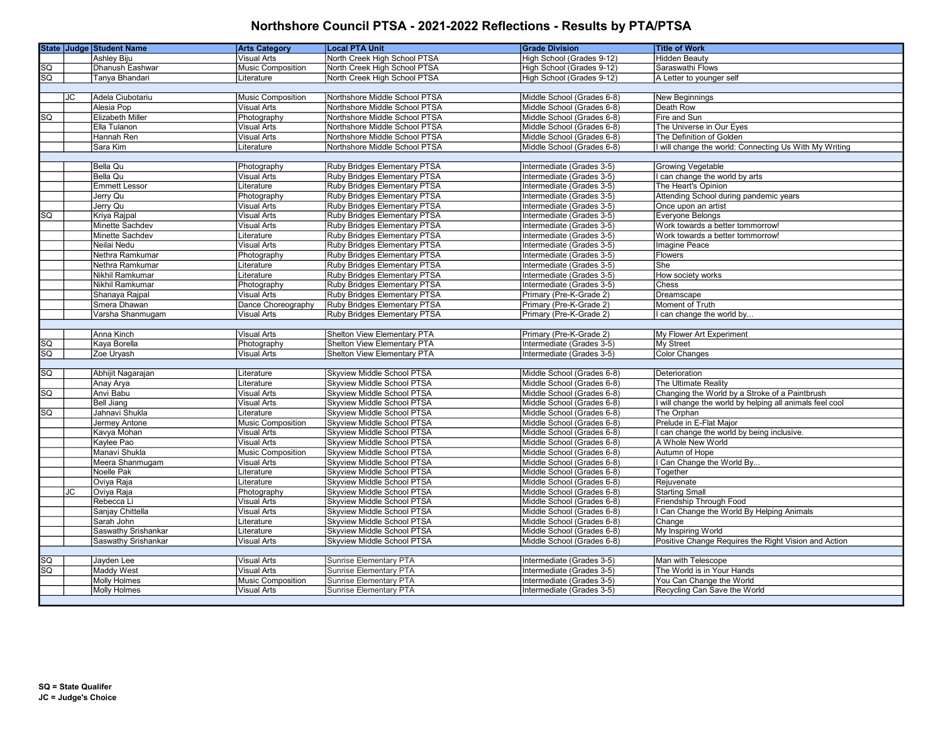|                 |    | State Judge Student Name | <b>Arts Category</b>     | <b>Local PTA Unit</b>         | <b>Grade Division</b>      | <b>Title of Work</b>                                     |
|-----------------|----|--------------------------|--------------------------|-------------------------------|----------------------------|----------------------------------------------------------|
|                 |    | Ashley Biju              | <b>Visual Arts</b>       | North Creek High School PTSA  | High School (Grades 9-12)  | <b>Hidden Beauty</b>                                     |
|                 |    |                          |                          |                               |                            | Saraswathi Flows                                         |
| SG              |    | Dhanush Eashwar          | <b>Music Composition</b> | North Creek High School PTSA  | High School (Grades 9-12)  |                                                          |
| $\overline{SQ}$ |    | Tanya Bhandari           | Literature               | North Creek High School PTSA  | High School (Grades 9-12)  | A Letter to younger self                                 |
|                 |    |                          |                          |                               |                            |                                                          |
|                 | JC | Adela Ciubotariu         | <b>Music Composition</b> | Northshore Middle School PTSA | Middle School (Grades 6-8) | <b>New Beginnings</b>                                    |
|                 |    | Alesia Pop               | <b>Visual Arts</b>       | Northshore Middle School PTSA | Middle School (Grades 6-8) | <b>Death Row</b>                                         |
| $\overline{SQ}$ |    | <b>Elizabeth Miller</b>  | Photography              | Northshore Middle School PTSA | Middle School (Grades 6-8) | Fire and Sun                                             |
|                 |    | Ella Tulanon             | <b>Visual Arts</b>       | Northshore Middle School PTSA | Middle School (Grades 6-8) | The Universe in Our Eyes                                 |
|                 |    | Hannah Ren               | <b>Visual Arts</b>       | Northshore Middle School PTSA | Middle School (Grades 6-8) | The Definition of Golden                                 |
|                 |    | Sara Kim                 | Literature               | Northshore Middle School PTSA | Middle School (Grades 6-8) | I will change the world: Connecting Us With My Writing   |
|                 |    |                          |                          |                               |                            |                                                          |
|                 |    | Bella Qu                 | Photography              | Ruby Bridges Elementary PTSA  | Intermediate (Grades 3-5)  | <b>Growing Vegetable</b>                                 |
|                 |    | Bella Qu                 | <b>Visual Arts</b>       | Ruby Bridges Elementary PTSA  | Intermediate (Grades 3-5)  | can change the world by arts                             |
|                 |    | <b>Emmett Lessor</b>     | Literature               | Ruby Bridges Elementary PTSA  | Intermediate (Grades 3-5)  | The Heart's Opinion                                      |
|                 |    | Jerry Qu                 | Photography              | Ruby Bridges Elementary PTSA  | Intermediate (Grades 3-5)  | Attending School during pandemic years                   |
|                 |    | Jerry Qu                 | <b>Visual Arts</b>       | Ruby Bridges Elementary PTSA  | Intermediate (Grades 3-5)  | Once upon an artist                                      |
| $\overline{SQ}$ |    | Kriya Rajpal             | <b>Visual Arts</b>       | Ruby Bridges Elementary PTSA  | Intermediate (Grades 3-5)  | Everyone Belongs                                         |
|                 |    | Minette Sachdev          | <b>Visual Arts</b>       | Ruby Bridges Elementary PTSA  | Intermediate (Grades 3-5)  | Work towards a better tommorrow!                         |
|                 |    | Minette Sachdev          | Literature               | Ruby Bridges Elementary PTSA  | Intermediate (Grades 3-5)  | Work towards a better tommorrow!                         |
|                 |    | Neilai Nedu              | <b>Visual Arts</b>       | Ruby Bridges Elementary PTSA  | Intermediate (Grades 3-5)  | Imagine Peace                                            |
|                 |    | Nethra Ramkumar          | Photography              | Ruby Bridges Elementary PTSA  | Intermediate (Grades 3-5)  | Flowers                                                  |
|                 |    | Nethra Ramkumar          | Literature               | Ruby Bridges Elementary PTSA  | Intermediate (Grades 3-5)  | She                                                      |
|                 |    | Nikhil Ramkumar          | Literature               | Ruby Bridges Elementary PTSA  | Intermediate (Grades 3-5)  | How society works                                        |
|                 |    | Nikhil Ramkumar          | Photography              | Ruby Bridges Elementary PTSA  | Intermediate (Grades 3-5)  | Chess                                                    |
|                 |    | Shanaya Rajpal           | <b>Visual Arts</b>       | Ruby Bridges Elementary PTSA  | Primary (Pre-K-Grade 2)    | Dreamscape                                               |
|                 |    | Smera Dhawan             | Dance Choreography       | Ruby Bridges Elementary PTSA  | Primary (Pre-K-Grade 2)    | Moment of Truth                                          |
|                 |    |                          |                          |                               |                            |                                                          |
|                 |    | Varsha Shanmugam         | Visual Arts              | Ruby Bridges Elementary PTSA  | Primary (Pre-K-Grade 2)    | I can change the world by                                |
|                 |    |                          |                          |                               |                            |                                                          |
|                 |    | Anna Kinch               | Visual Arts              | Shelton View Elementary PTA   | Primary (Pre-K-Grade 2)    | My Flower Art Experiment                                 |
| $\overline{SQ}$ |    | Kaya Borella             | Photography              | Shelton View Elementary PTA   | Intermediate (Grades 3-5)  | <b>My Street</b>                                         |
| SG              |    | Zoe Uryash               | <b>Visual Arts</b>       | Shelton View Elementary PTA   | Intermediate (Grades 3-5)  | Color Changes                                            |
|                 |    |                          |                          |                               |                            |                                                          |
| $\overline{SQ}$ |    | Abhijit Nagarajan        | Literature               | Skyview Middle School PTSA    | Middle School (Grades 6-8) | Deterioration                                            |
|                 |    | Anay Arya                | Literature               | Skyview Middle School PTSA    | Middle School (Grades 6-8) | The Ultimate Reality                                     |
| SG              |    | Anvi Babu                | <b>Visual Arts</b>       | Skyview Middle School PTSA    | Middle School (Grades 6-8) | Changing the World by a Stroke of a Paintbrush           |
|                 |    | <b>Bell Jiang</b>        | <b>Visual Arts</b>       | Skyview Middle School PTSA    | Middle School (Grades 6-8) | I will change the world by helping all animals feel cool |
| SQ              |    | Jahnavi Shukla           | Literature               | Skyview Middle School PTSA    | Middle School (Grades 6-8) | The Orphan                                               |
|                 |    | Jermey Antone            | Music Composition        | Skyview Middle School PTSA    | Middle School (Grades 6-8) | Prelude in E-Flat Major                                  |
|                 |    | Kavya Mohan              | <b>Visual Arts</b>       | Skyview Middle School PTSA    | Middle School (Grades 6-8) | can change the world by being inclusive.                 |
|                 |    | Kaylee Pao               | <b>Visual Arts</b>       | Skyview Middle School PTSA    | Middle School (Grades 6-8) | A Whole New World                                        |
|                 |    | Manavi Shukla            | <b>Music Composition</b> | Skyview Middle School PTSA    | Middle School (Grades 6-8) | Autumn of Hope                                           |
|                 |    | Meera Shanmuqam          | <b>Visual Arts</b>       | Skyview Middle School PTSA    | Middle School (Grades 6-8) | Can Change the World By                                  |
|                 |    | Noelle Pak               | Literature               | Skyview Middle School PTSA    | Middle School (Grades 6-8) | Together                                                 |
|                 |    | Oviya Raja               | Literature               | Skyview Middle School PTSA    | Middle School (Grades 6-8) | Rejuvenate                                               |
|                 | JC | Oviya Raja               | Photography              | Skyview Middle School PTSA    | Middle School (Grades 6-8) | <b>Starting Small</b>                                    |
|                 |    | Rebecca Li               | <b>Visual Arts</b>       | Skyview Middle School PTSA    | Middle School (Grades 6-8) | Friendship Through Food                                  |
|                 |    | Sanjay Chittella         | <b>Visual Arts</b>       | Skyview Middle School PTSA    | Middle School (Grades 6-8) | Can Change the World By Helping Animals                  |
|                 |    | Sarah John               | Literature               | Skyview Middle School PTSA    | Middle School (Grades 6-8) | Change                                                   |
|                 |    | Saswathy Srishankar      | Literature               | Skyview Middle School PTSA    | Middle School (Grades 6-8) | My Inspiring World                                       |
|                 |    | Saswathy Srishankar      | <b>Visual Arts</b>       | Skyview Middle School PTSA    | Middle School (Grades 6-8) | Positive Change Requires the Right Vision and Action     |
|                 |    |                          |                          |                               |                            |                                                          |
| <b>SQ</b>       |    | Jayden Lee               | <b>Visual Arts</b>       | Sunrise Elementary PTA        | Intermediate (Grades 3-5)  | Man with Telescope                                       |
| $\overline{SQ}$ |    | <b>Maddy West</b>        | Visual Arts              | <b>Sunrise Elementary PTA</b> | Intermediate (Grades 3-5)  | The World is in Your Hands                               |
|                 |    | <b>Molly Holmes</b>      | <b>Music Composition</b> | <b>Sunrise Elementary PTA</b> | Intermediate (Grades 3-5)  | You Can Change the World                                 |
|                 |    | <b>Molly Holmes</b>      | <b>Visual Arts</b>       | <b>Sunrise Elementary PTA</b> | Intermediate (Grades 3-5)  | Recycling Can Save the World                             |
|                 |    |                          |                          |                               |                            |                                                          |